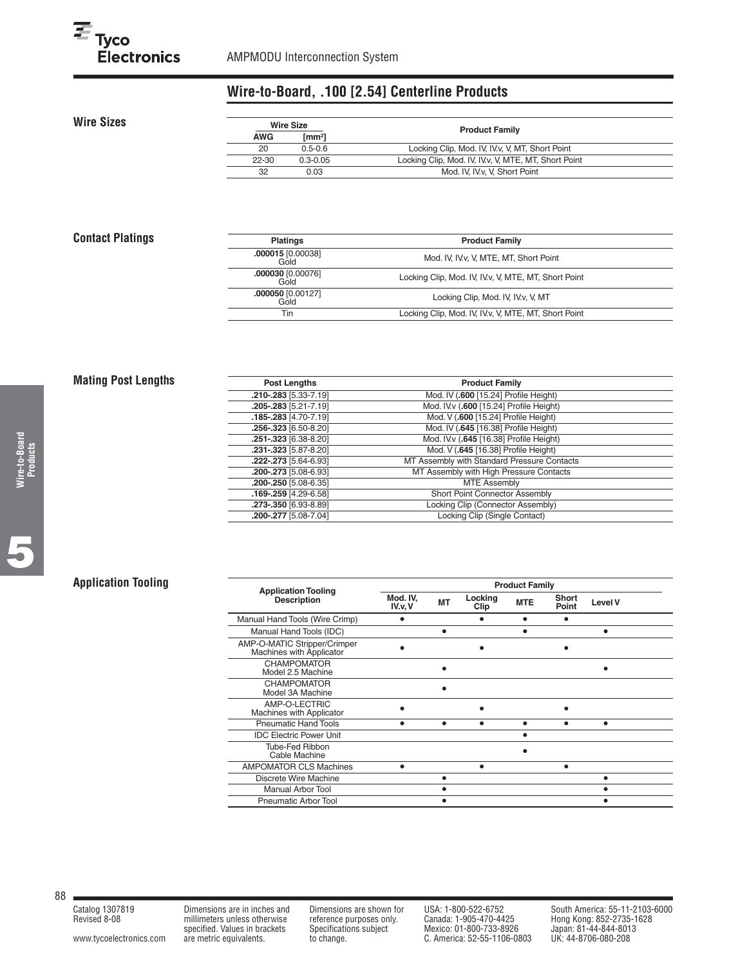# **Wire-to-Board, .100 [2.54] Centerline Products**

**Wire Sizes**

| Wire Size  |                | <b>Product Family</b>                                |
|------------|----------------|------------------------------------------------------|
| <b>AWG</b> | $\text{[mm2]}$ |                                                      |
| 20         | $0.5 - 0.6$    | Locking Clip, Mod. IV, IV.v, V, MT, Short Point      |
| 22-30      | $0.3 - 0.05$   | Locking Clip, Mod. IV, IV.v, V, MTE, MT, Short Point |
| 32         | 0.03           | Mod. IV. IV. v. V. Short Point                       |

# **Contact Platings**

| <b>Platings</b>                 | <b>Product Family</b>                                 |  |
|---------------------------------|-------------------------------------------------------|--|
| <b>000015</b> [0.00038]<br>Gold | Mod. IV, IV.v. V, MTE, MT, Short Point                |  |
| 000030 [0.00076]<br><b>Gold</b> | Locking Clip, Mod. IV, IV.v, V, MTE, MT, Short Point  |  |
| 000050 [0.00127]<br>Gold        | Locking Clip, Mod. IV, IV.v, V, MT                    |  |
| Tin                             | Locking Clip, Mod. IV, IV. v, V, MTE, MT, Short Point |  |

# **Mating Post Lengths**

| Post Lengths          | <b>Product Family</b>                       |
|-----------------------|---------------------------------------------|
| .210-.283 [5.33-7.19] | Mod. IV (.600 [15.24] Profile Height)       |
| .205-.283 [5.21-7.19] | Mod. IVv (.600 [15.24] Profile Height)      |
| 185-283 [4.70-7.19]   | Mod. V (.600 [15.24] Profile Height)        |
| .256-.323 [6.50-8.20] | Mod. IV (.645 [16.38] Profile Height)       |
| .251-.323 [6.38-8.20] | Mod. IV.v (.645 [16.38] Profile Height)     |
| .231-.323 [5.87-8.20] | Mod. V (.645 [16.38] Profile Height)        |
| .222-.273 [5.64-6.93] | MT Assembly with Standard Pressure Contacts |
| .200-.273 [5.08-6.93] | MT Assembly with High Pressure Contacts     |
| .200-.250 [5.08-6.35] | <b>MTE Assembly</b>                         |
| 169-259 [4.29-6.58]   | Short Point Connector Assembly              |
| .273-.350 [6.93-8.89] | Locking Clip (Connector Assembly)           |
| .200-.277 [5.08-7.04] | Locking Clip (Single Contact)               |

# **Application Tooling**

| <b>Application Tooling</b>                               |                    |           |                 | <b>Product Family</b> |                       |                |  |
|----------------------------------------------------------|--------------------|-----------|-----------------|-----------------------|-----------------------|----------------|--|
| <b>Description</b>                                       | Mod. IV.<br>IV.v.V | <b>MT</b> | Locking<br>Clip | <b>MTE</b>            | <b>Short</b><br>Point | <b>Level V</b> |  |
| Manual Hand Tools (Wire Crimp)                           |                    |           | ٠               |                       |                       |                |  |
| Manual Hand Tools (IDC)                                  |                    |           |                 |                       |                       |                |  |
| AMP-O-MATIC Stripper/Crimper<br>Machines with Applicator |                    |           |                 |                       |                       |                |  |
| <b>CHAMPOMATOR</b><br>Model 2.5 Machine                  |                    |           |                 |                       |                       |                |  |
| <b>CHAMPOMATOR</b><br>Model 3A Machine                   |                    |           |                 |                       |                       |                |  |
| AMP-O-LECTRIC<br>Machines with Applicator                |                    |           |                 |                       |                       |                |  |
| <b>Pneumatic Hand Tools</b>                              |                    |           | ٠               |                       |                       | ٠              |  |
| <b>IDC Electric Power Unit</b>                           |                    |           |                 |                       |                       |                |  |
| Tube-Fed Ribbon<br>Cable Machine                         |                    |           |                 |                       |                       |                |  |
| <b>AMPOMATOR CLS Machines</b>                            |                    |           | ٠               |                       |                       |                |  |
| Discrete Wire Machine                                    |                    |           |                 |                       |                       |                |  |
| <b>Manual Arbor Tool</b>                                 |                    |           |                 |                       |                       |                |  |
| Pneumatic Arbor Tool                                     |                    |           |                 |                       |                       |                |  |

88

[www.tycoelectronics.com](http://www.tycoelectronics.com) are metric equivalents. to change. C. America: 52-55-1106-0803

Revised 8-08 millimeters unless otherwise reference purposes only. Canada: 1-905-470-4425 Hong Kong: 852-2735-1628 specified. Values in brackets Specifications subject Mexico: 01-800-733-8926 Japan: 81-44-844-8013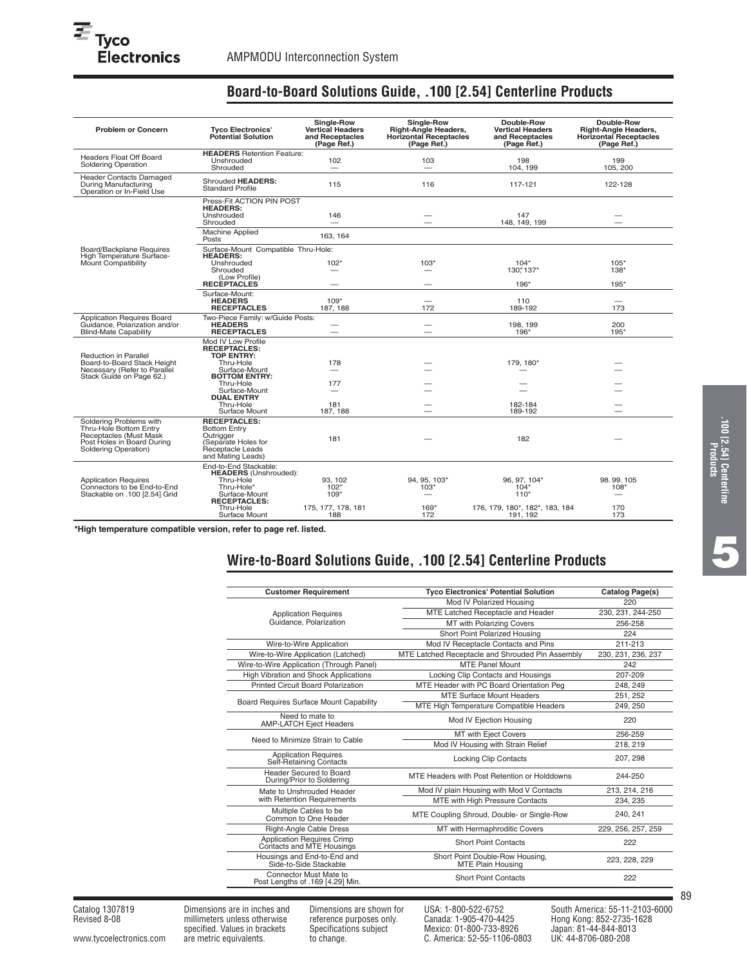| <b>Problem or Concern</b>                                                                                                         | <b>Tyco Electronics'</b><br><b>Potential Solution</b>                                                                                                                                                 | <b>Single-Row</b><br><b>Vertical Headers</b><br>and Receptacles<br>(Page Ref.) | Single-Row<br><b>Right-Angle Headers,</b><br><b>Horizontal Receptacles</b><br>(Page Ref.) | Double-Row<br><b>Vertical Headers</b><br>and Receptacles<br>(Page Ref.)        | Double-Row<br><b>Right-Angle Headers,</b><br><b>Horizontal Receptacles</b><br>(Page Ref.) |
|-----------------------------------------------------------------------------------------------------------------------------------|-------------------------------------------------------------------------------------------------------------------------------------------------------------------------------------------------------|--------------------------------------------------------------------------------|-------------------------------------------------------------------------------------------|--------------------------------------------------------------------------------|-------------------------------------------------------------------------------------------|
| <b>Headers Float Off Board</b><br><b>Soldering Operation</b>                                                                      | <b>HEADERS</b> Retention Feature:<br>Unshrouded<br>Shrouded                                                                                                                                           | 102<br>—                                                                       | 103<br>$\qquad \qquad$                                                                    | 198<br>104.199                                                                 | 199<br>105, 200                                                                           |
| <b>Header Contacts Damaged</b><br>During Manufacturing<br>Operation or In-Field Use                                               | Shrouded HEADERS:<br><b>Standard Profile</b>                                                                                                                                                          | 115                                                                            | 116                                                                                       | 117-121                                                                        | 122-128                                                                                   |
|                                                                                                                                   | Press-Fit ACTION PIN POST<br><b>HEADERS:</b><br>Unshrouded<br>Shrouded                                                                                                                                | 146<br>—                                                                       |                                                                                           | 147<br>148, 149, 199                                                           |                                                                                           |
|                                                                                                                                   | <b>Machine Applied</b><br>Posts                                                                                                                                                                       | 163.164                                                                        |                                                                                           |                                                                                |                                                                                           |
| Board/Backplane Requires<br>High Temperature Surface-<br>Mount Compatibility                                                      | Surface-Mount Compatible Thru-Hole:<br><b>HEADERS:</b><br>Unshrouded<br>Shrouded<br>(Low Profile)<br><b>RECEPTACLES</b>                                                                               | $102*$                                                                         | $103*$                                                                                    | $104*$<br>130*137*<br>196*                                                     | $105*$<br>$138*$<br>$195*$                                                                |
|                                                                                                                                   | Surface-Mount:<br><b>HEADERS</b><br><b>RECEPTACLES</b>                                                                                                                                                | $109*$<br>187, 188                                                             | -<br>172                                                                                  | 110<br>189-192                                                                 | -<br>173                                                                                  |
| Application Requires Board<br>Guidance, Polarization and/or<br><b>Blind-Mate Capability</b>                                       | Two-Piece Family: w/Guide Posts:<br><b>HEADERS</b><br><b>RECEPTACLES</b>                                                                                                                              | -<br>$\overline{\phantom{0}}$                                                  | —                                                                                         | 198, 199<br>196*                                                               | 200<br>195*                                                                               |
| <b>Reduction in Parallel</b><br>Board-to-Board Stack Height<br>Necessary (Refer to Parallel<br>Stack Guide on Page 62.)           | Mod IV Low Profile<br><b>RECEPTACLES:</b><br><b>TOP ENTRY:</b><br>Thru-Hole<br>Surface-Mount<br><b>BOTTOM ENTRY:</b><br>Thru-Hole<br>Surface-Mount<br><b>DUAL ENTRY</b><br>Thru-Hole<br>Surface Mount | 178<br>177<br>181<br>187, 188                                                  |                                                                                           | 179, 180*<br>182-184<br>189-192                                                |                                                                                           |
| Soldering Problems with<br>Thru-Hole Bottom Entry<br>Receptacles (Must Mask<br>Post Holes in Board During<br>Soldering Operation) | <b>RECEPTACLES:</b><br><b>Bottom Entry</b><br>Outrigger<br>(Separate Holes for<br>Receptacle Leads<br>and Mating Leads)                                                                               | 181                                                                            |                                                                                           | 182                                                                            |                                                                                           |
| <b>Application Requires</b><br>Connectors to be End-to-End<br>Stackable on .100 [2.54] Grid                                       | End-to-End Stackable:<br><b>HEADERS</b> (Unshrouded):<br>Thru-Hole<br>Thru-Hole*<br>Surface-Mount<br><b>RECEPTACLES:</b><br>Thru-Hole<br>Surface Mount                                                | 93.102<br>$102*$<br>$109*$<br>175, 177, 178, 181<br>188                        | 94, 95, 103*<br>$103*$<br>$169*$<br>172                                                   | 96, 97, 104*<br>$104*$<br>$110*$<br>176, 179, 180*, 182*, 183, 184<br>191, 192 | 98.99.105<br>$108*$<br>170<br>173                                                         |

# **Board-to-Board Solutions Guide, .100 [2.54] Centerline Products**

**\*High temperature compatible version, refer to page ref. listed.**

# **Wire-to-Board Solutions Guide, .100 [2.54] Centerline Products**

| <b>Customer Requirement</b>                                | <b>Tyco Electronics' Potential Solution</b>                 | Catalog Page(s)    |
|------------------------------------------------------------|-------------------------------------------------------------|--------------------|
|                                                            | Mod IV Polarized Housing                                    | 220                |
| <b>Application Requires</b>                                | MTE Latched Receptacle and Header                           | 230, 231, 244-250  |
| Guidance, Polarization                                     | <b>MT with Polarizing Covers</b>                            | 256-258            |
|                                                            | Short Point Polarized Housing                               | 224                |
| Wire-to-Wire Application                                   | Mod IV Receptacle Contacts and Pins                         | 211-213            |
| Wire-to-Wire Application (Latched)                         | MTE Latched Receptacle and Shrouded Pin Assembly            | 230, 231, 236, 237 |
| Wire-to-Wire Application (Through Panel)                   | <b>MTE Panel Mount</b>                                      | 242                |
| <b>High Vibration and Shock Applications</b>               | Locking Clip Contacts and Housings                          | 207-209            |
| <b>Printed Circuit Board Polarization</b>                  | MTE Header with PC Board Orientation Peg                    | 248, 249           |
|                                                            | <b>MTE Surface Mount Headers</b>                            | 251, 252           |
| Board Requires Surface Mount Capability                    | MTE High Temperature Compatible Headers                     | 249, 250           |
| Need to mate to<br><b>AMP-LATCH Eject Headers</b>          | Mod IV Ejection Housing                                     | 220                |
|                                                            | MT with Eject Covers                                        | 256-259            |
| Need to Minimize Strain to Cable                           | Mod IV Housing with Strain Relief                           | 218, 219           |
| <b>Application Requires</b><br>Self-Retaining Contacts     | <b>Locking Clip Contacts</b>                                | 207, 298           |
| Header Secured to Board<br>During/Prior to Soldering       | MTE Headers with Post Retention or Holddowns                | 244-250            |
| Mate to Unshrouded Header                                  | Mod IV plain Housing with Mod V Contacts                    | 213, 214, 216      |
| with Retention Requirements                                | MTE with High Pressure Contacts                             | 234, 235           |
| Multiple Cables to be<br>Common to One Header              | MTE Coupling Shroud, Double- or Single-Row                  | 240, 241           |
| <b>Right-Angle Cable Dress</b>                             | MT with Hermaphroditic Covers                               | 229, 256, 257, 259 |
| Application Requires Crimp<br>Contacts and MTE Housings    | <b>Short Point Contacts</b>                                 | 222                |
| Housings and End-to-End and<br>Side-to-Side Stackable      | Short Point Double-Row Housing,<br><b>MTE Plain Housing</b> | 223, 228, 229      |
| Connector Must Mate to<br>Post Lengths of .169 [4.29] Min. | <b>Short Point Contacts</b>                                 | 222                |

**.100 [2.54] Centerline Products**

**5**

Catalog 1307819 Dimensions are in inches and Dimensions are shown for USA: 1-800-522-6752 South America: 55-11-2103-6000<br>Revised 8-08 millimeters unless otherwise reference purposes only. Canada: 1-905-470-4425 Hong Kong: Revised 8-08 millimeters unless otherwise reference purposes only. Canada: 1-905-470-4425 Hong Kong: 852-2735-1628 specified. Values in brackets Specifications subject Mexico: 01-800-733-8926 Japan: 81-44-844-8013 [www.tycoelectronics.com](http://www.tycoelectronics.com) are metric equivalents. to change. C. America: 52-55-1106-0803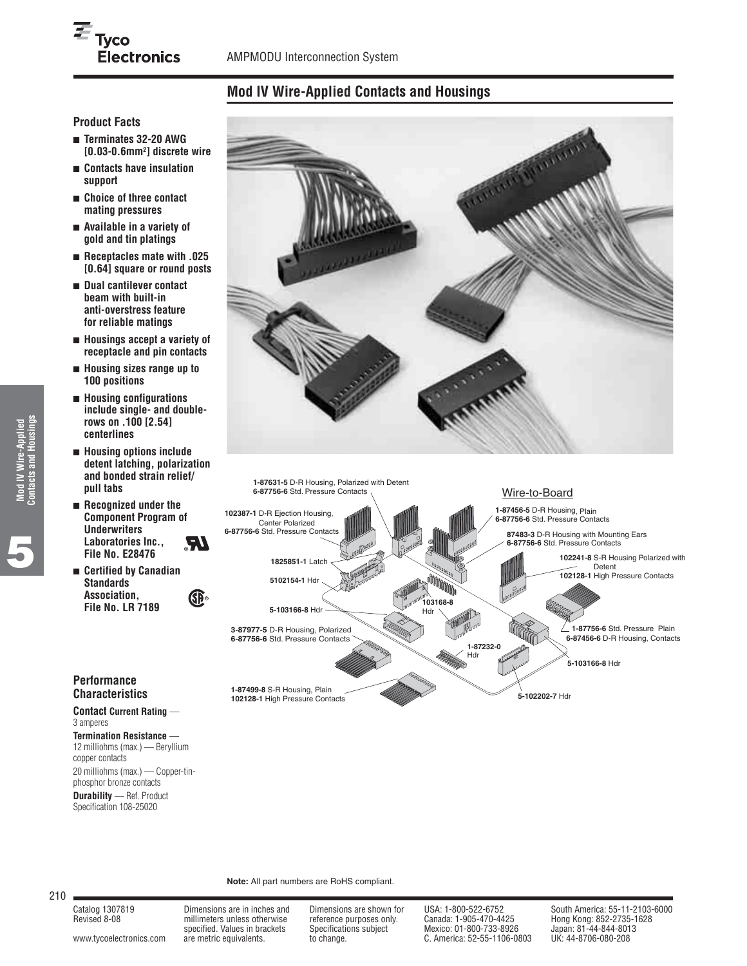# **Mod IV Wire-Applied Contacts and Housings**

# **Product Facts**

- **Terminates 32-20 AWG [0.03-0.6mm2] discrete wire**
- **Contacts have insulation support**
- **Choice of three contact mating pressures**
- **Available in a variety of gold and tin platings**
- **Receptacles mate with .025 [0.64] square or round posts**
- **Dual cantilever contact beam with built-in anti-overstress feature for reliable matings**
- **Housings accept a variety of receptacle and pin contacts**
- **Housing sizes range up to 100 positions**
- **Housing configurations include single- and doublerows on .100 [2.54] centerlines**
- **Housing options include detent latching, polarization and bonded strain relief/ pull tabs**
- **Recognized under the Component Program of Underwriters Laboratories Inc., File No. E28476 R**
- **Certified by Canadian Standards Association, File No. LR 7189**





# **Performance Characteristics**

#### **Contact Current Rating** — 3 amperes

**Termination Resistance** — 12 milliohms (max.) — Beryllium copper contacts 20 milliohms (max.) — Copper-tin-

phosphor bronze contacts **Durability** — Ref. Product Specification 108-25020

#### **Note:** All part numbers are RoHS compliant.

210

Revised 8-08 millimeters unless otherwise reference purposes only. Canada: 1-905-470-4425 Hong Kong: 852-2735-1628

[www.tycoelectronics.com](http://www.tycoelectronics.com) are metric equivalents. to change. C. America: 52-55-1106-0803

specified. Values in brackets Specifications subject Mexico: 01-800-733-8926 Japan: 81-44-844-801<br>are metric equivalents. to change. C. America: 52-55-1106-0803 UK: 44-8706-080-208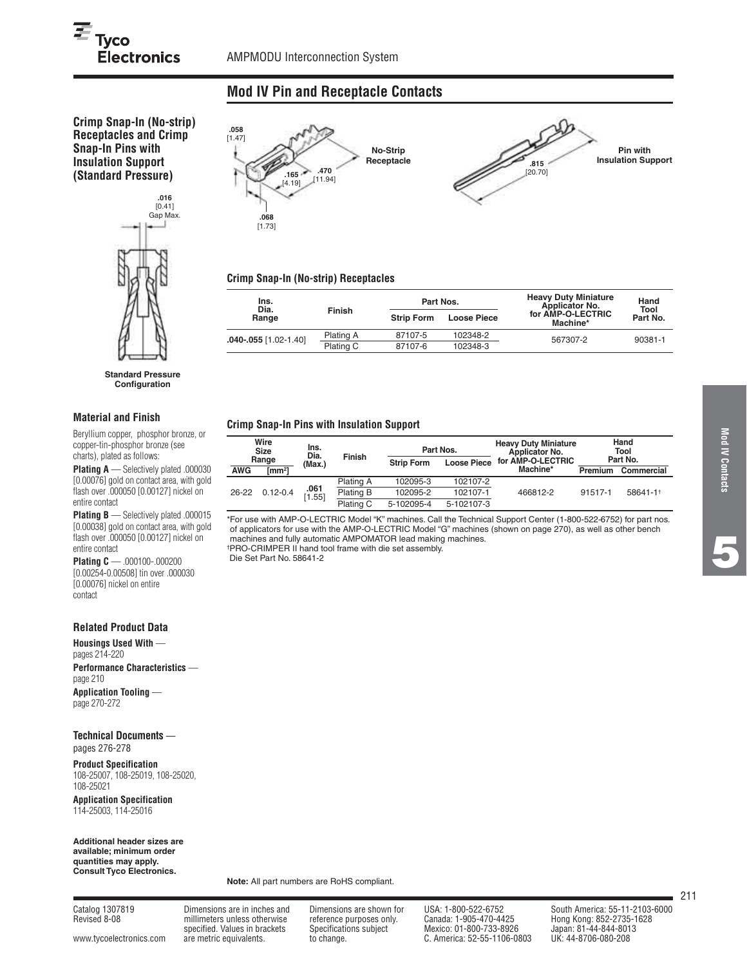**.058** [1.47]

# $\overline{\equiv}$  Tyco **Electronics**

# **Mod IV Pin and Receptacle Contacts**

**Crimp Snap-In (No-strip) Receptacles and Crimp Snap-In Pins with Insulation Support (Standard Pressure)**



**Standard Pressure Configuration**

#### **Material and Finish**

Beryllium copper, phosphor bronze, or copper-tin-phosphor bronze (see charts), plated as follows:

**Plating A** — Selectively plated .000030 [0.00076] gold on contact area, with gold flash over .000050 [0.00127] nickel on entire contact

**Plating B** — Selectively plated .000015 [0.00038] gold on contact area, with gold flash over .000050 [0.00127] nickel on entire contact

**Plating C** — .000100-.000200 [0.00254-0.00508] tin over .000030 [0.00076] nickel on entire contact

#### **Related Product Data**

**Housings Used With**  pages 214-220

**Performance Characteristics**  page 210

**Application Tooling**  page 270-272

**Technical Documents**  pages 276-278

**Product Specification** 108-25007, 108-25019, 108-25020, 108-25021

**Application Specification** 114-25003, 114-25016

**Additional header sizes are available; minimum order quantities may apply. Consult Tyco Electronics.**

**Note:** All part numbers are RoHS compliant.

Revised 8-08 millimeters unless otherwise reference purposes only. Canada: 1-905-470-4425 Hong Kong: 852-2735-1628

Catalog 1307819 Dimensions are in inches and Dimensions are shown for USA: 1-800-522-6752 South America: 55-11-2103-6000<br>Revised 8-08 Hong Kong: 852-2735-1628 millimeters unless otherwise reference purposes only. Canada: 1-905-470-4425 Hong Kong: 852-2735-1628<br>specified. Values in brackets Specifications subject Mexico: 01-800-733-8926 Japan: 81-44-844-8013<br>are metric equivalent [www.tycoelectronics.com](http://www.tycoelectronics.com) are metric equivalents. to change. C. America: 52-55-1106-0803

211



# **Crimp Snap-In (No-strip) Receptacles**

| Ins.<br>Dia.              |           | Part Nos.         |                    | <b>Heavy Duty Miniature</b><br><b>Applicator No.</b> | Hand<br>Tool |  |
|---------------------------|-----------|-------------------|--------------------|------------------------------------------------------|--------------|--|
| Range                     | Finish    | <b>Strip Form</b> | <b>Loose Piece</b> | for AMP-O-LECTRIC<br>Machine*                        | Part No.     |  |
| $.040 - .055$ [1.02-1.40] | Plating A | 87107-5           | 102348-2           | 567307-2                                             | 90381-1      |  |
|                           | Plating C | 87107-6           | 102348-3           |                                                      |              |  |

#### **Crimp Snap-In Pins with Insulation Support**

| Wire<br><b>Size</b> |                   | Ins.<br>Dia.   | <b>Finish</b> |                   | Part Nos.          | <b>Heavy Duty Miniature</b><br>Applicator No. |          | Hand<br>Tool |  |
|---------------------|-------------------|----------------|---------------|-------------------|--------------------|-----------------------------------------------|----------|--------------|--|
|                     | Range             | (Max.)         |               | <b>Strip Form</b> | <b>Loose Piece</b> | for AMP-O-LECTRIC                             | Part No. |              |  |
| <b>AWG</b>          | mm <sup>2</sup> l |                |               |                   |                    | Machine*                                      | Premium  | Commercial   |  |
|                     |                   |                | Plating A     | 102095-3          | 102107-2           |                                               |          |              |  |
| $26 - 22$           | $0.12 - 0.4$      | .061<br>[1.55] | Plating B     | 102095-2          | 102107-1           | 466812-2                                      | 91517-1  | 58641-11     |  |
|                     |                   |                | Plating C     | 5-102095-4        | 5-102107-3         |                                               |          |              |  |

\*For use with AMP-O-LECTRIC Model "K" machines. Call the Technical Support Center (1-800-522-6752) for part nos. of applicators for use with the AMP-O-LECTRIC Model "G" machines (shown on page 270), as well as other bench machines and fully automatic AMPOMATOR lead making machines. †PRO-CRIMPER II hand tool frame with die set assembly.

Die Set Part No. 58641-2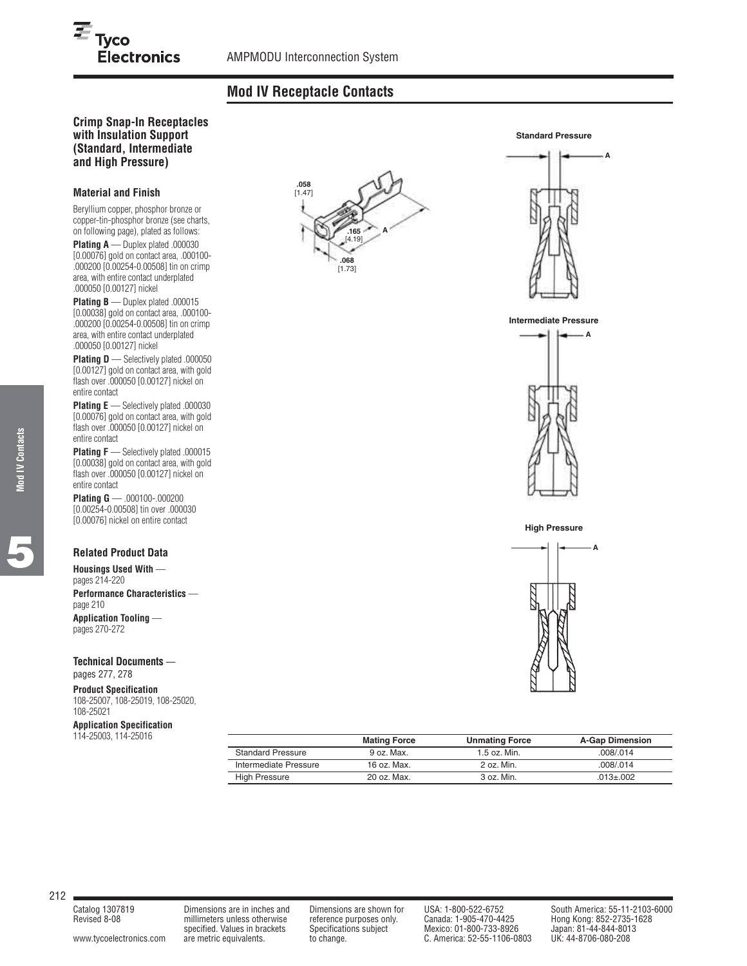# **Mod IV Receptacle Contacts**

# **Crimp Snap-In Receptacles with Insulation Support (Standard, Intermediate and High Pressure)**

Electronics

#### **Material and Finish**

 $E_{\text{Tyco}}$ 

Beryllium copper, phosphor bronze or copper-tin-phosphor bronze (see charts, on following page), plated as follows: **Plating A** — Duplex plated .000030 [0.00076] gold on contact area, .000100- .000200 [0.00254-0.00508] tin on crimp

area, with entire contact underplated

.000050 [0.00127] nickel **Plating B** — Duplex plated .000015 [0.00038] gold on contact area, .000100- .000200 [0.00254-0.00508] tin on crimp area, with entire contact underplated .000050 [0.00127] nickel

**Plating D** — Selectively plated .000050 [0.00127] gold on contact area, with gold flash over .000050 [0.00127] nickel on entire contact

**Plating E** — Selectively plated .000030 [0.00076] gold on contact area, with gold flash over .000050 [0.00127] nickel on entire contact

**Plating F** — Selectively plated .000015 [0.00038] gold on contact area, with gold flash over .000050 [0.00127] nickel on entire contact

**Plating G** — .000100-.000200 [0.00254-0.00508] tin over .000030 [0.00076] nickel on entire contact

### **Related Product Data**

**Housings Used With**  pages 214-220 **Performance Characteristics**  page 210 **Application Tooling**  pages 270-272

**Technical Documents**  pages 277, 278

**Product Specification** 108-25007, 108-25019, 108-25020, 108-25021

# **Application Specification**

114-25003, 114-25016

|                          | <b>Mating Force</b> | <b>Unmating Force</b> | <b>A-Gap Dimension</b> |
|--------------------------|---------------------|-----------------------|------------------------|
| <b>Standard Pressure</b> | 9 oz. Max.          | $1.5$ oz. Min.        | .008/014               |
| Intermediate Pressure    | 16 oz. Max.         | 2 oz. Min.            | .008/014               |
| <b>High Pressure</b>     | 20 oz. Max.         | 3 oz. Min.            | $.013 + .002$          |
|                          |                     |                       |                        |













212

Revised 8-08 millimeters unless otherwise reference purposes only. Canada: 1-905-470-4425 Hong Kong: 852-2735-1628

specified. Values in brackets Specifications subject Mexico: 01-800-733-8926 Japan: 81-44-844-801<br>are metric equivalents. to change. C. America: 52-55-1106-0803 UK: 44-8706-080-208 [www.tycoelectronics.com](http://www.tycoelectronics.com) are metric equivalents. to change. C. America: 52-55-1106-0803

Catalog 1307819 Dimensions are in inches and Dimensions are shown for USA: 1-800-522-6752 South America: 55-11-2103-6000<br>Revised 8-08 millimeters unless otherwise reference purposes only. Canada: 1-905-470-4425 Hong Kong:

 $\equiv$ 

**Mod IV Contacts Mod IV Contacts**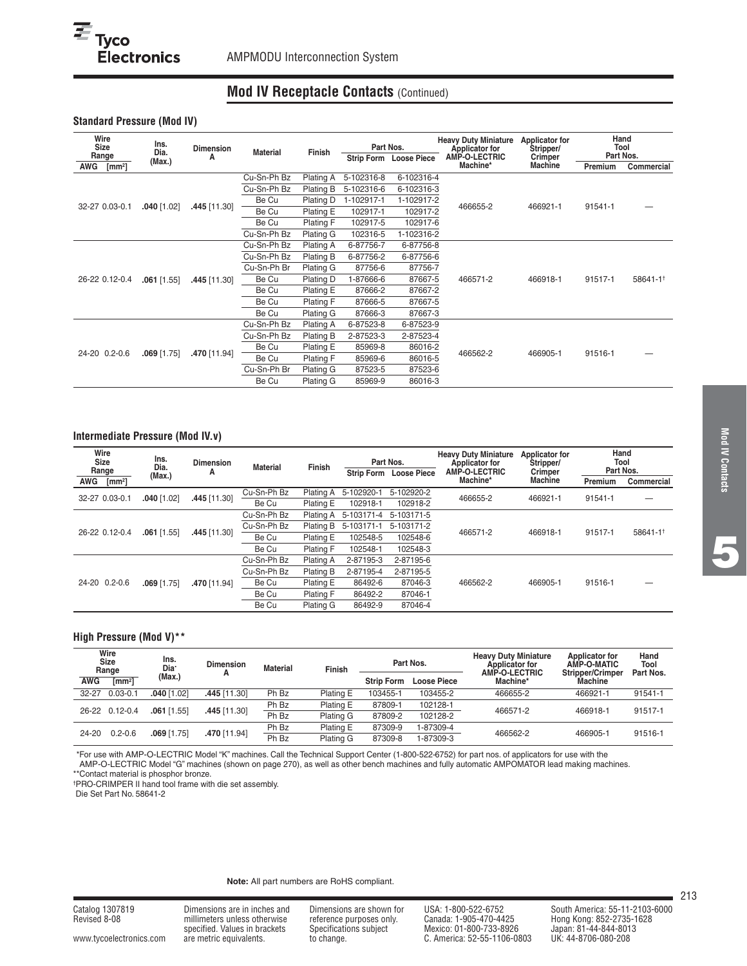# **Mod IV Receptacle Contacts** (Continued)

#### **Standard Pressure (Mod IV)**

| Wire<br><b>Size</b><br>Range | Ins.<br>Dia.  | <b>Dimension</b> | <b>Material</b> | Finish           | Part Nos.  |                        | <b>Heavy Duty Miniature</b><br><b>Applicator for</b> | <b>Applicator for</b><br>Stripper/ |         | Hand<br>Tool<br>Part Nos. |  |
|------------------------------|---------------|------------------|-----------------|------------------|------------|------------------------|------------------------------------------------------|------------------------------------|---------|---------------------------|--|
| AWG<br>$\text{[mm2]}$        | (Max.)        | А                |                 |                  |            | Strip Form Loose Piece | AMP-O-LECTRIC<br>Machine*                            | Crimper<br>Machine                 | Premium | Commercial                |  |
|                              |               |                  | Cu-Sn-Ph Bz     | Plating A        | 5-102316-8 | 6-102316-4             |                                                      |                                    |         |                           |  |
|                              |               |                  | Cu-Sn-Ph Bz     | Plating B        | 5-102316-6 | 6-102316-3             |                                                      |                                    |         |                           |  |
|                              |               |                  | Be Cu           | Plating D        | 1-102917-1 | 1-102917-2             |                                                      | 466921-1                           | 91541-1 |                           |  |
| 32-27 0.03-0.1               | $.040$ [1.02] | .445 [11.30]     | Be Cu           | Plating E        | 102917-1   | 102917-2               | 466655-2                                             |                                    |         |                           |  |
|                              |               |                  | Be Cu           | Plating F        | 102917-5   | 102917-6               |                                                      |                                    |         |                           |  |
|                              |               |                  | Cu-Sn-Ph Bz     | Plating G        | 102316-5   | 1-102316-2             |                                                      |                                    |         |                           |  |
|                              |               | .445 [11.30]     | Cu-Sn-Ph Bz     | Plating A        | 6-87756-7  | 6-87756-8              |                                                      |                                    |         | 58641-11                  |  |
|                              |               |                  | Cu-Sn-Ph Bz     | Plating B        | 6-87756-2  | 6-87756-6              | 466571-2                                             |                                    |         |                           |  |
|                              |               |                  | Cu-Sn-Ph Br     | Plating G        | 87756-6    | 87756-7                |                                                      | 466918-1                           | 91517-1 |                           |  |
| 26-22 0.12-0.4               | $.061$ [1.55] |                  | Be Cu           | Plating D        | 1-87666-6  | 87667-5                |                                                      |                                    |         |                           |  |
|                              |               |                  | Be Cu           | Plating E        | 87666-2    | 87667-2                |                                                      |                                    |         |                           |  |
|                              |               |                  | Be Cu           | Plating F        | 87666-5    | 87667-5                |                                                      |                                    |         |                           |  |
|                              |               |                  | Be Cu           | Plating G        | 87666-3    | 87667-3                |                                                      |                                    |         |                           |  |
|                              |               |                  | Cu-Sn-Ph Bz     | <b>Plating A</b> | 6-87523-8  | 6-87523-9              |                                                      |                                    |         |                           |  |
|                              |               |                  | Cu-Sn-Ph Bz     | Plating B        | 2-87523-3  | 2-87523-4              |                                                      |                                    |         |                           |  |
|                              | $.069$ [1.75] |                  | Be Cu           | Plating E        | 85969-8    | 86016-2                | 466562-2                                             |                                    | 91516-1 |                           |  |
| 24-20 0.2-0.6                |               | .470 [11.94]     | Be Cu           | Plating F        | 85969-6    | 86016-5                |                                                      | 466905-1                           |         |                           |  |
|                              |               |                  | Cu-Sn-Ph Br     | Plating G        | 87523-5    | 87523-6                |                                                      |                                    |         |                           |  |
|                              |               |                  | Be Cu           | Plating G        | 85969-9    | 86016-3                |                                                      |                                    |         |                           |  |

# **Intermediate Pressure (Mod IV.v)**

| Wire<br><b>Size</b><br>Range | Ins.<br>Dia.<br>(Max.) | <b>Dimension</b><br>А | <b>Material</b> | Finish           | <b>Strip Form</b> | Part Nos.<br><b>Loose Piece</b> | <b>Heavy Duty Miniature</b><br>Applicator for<br>AMP-O-LECTRIC | <b>Applicator for</b><br>Stripper/<br><b>Crimper</b> | Hand<br>Tool<br>Part Nos. |            |
|------------------------------|------------------------|-----------------------|-----------------|------------------|-------------------|---------------------------------|----------------------------------------------------------------|------------------------------------------------------|---------------------------|------------|
| AWG<br>$\text{[mm2]}$        |                        |                       |                 |                  |                   |                                 | Machine*                                                       | Machine                                              | Premium                   | Commercial |
| 32-27 0.03-0.1               | $.040$ [1.02]          |                       | Cu-Sn-Ph Bz     | Plating A        | 5-102920-1        | 5-102920-2                      | 466655-2                                                       | 466921-1                                             | 91541-1                   |            |
|                              |                        | .445 [11.30]          | Be Cu           | Plating E        | 102918-1          | 102918-2                        |                                                                |                                                      |                           |            |
|                              | $.061$ [1.55]          | 445 [11.30]           | Cu-Sn-Ph Bz     | Plating A        | 5-103171-4        | 5-103171-5                      |                                                                |                                                      | 91517-1                   | 58641-1    |
| 26-22 0.12-0.4               |                        |                       | Cu-Sn-Ph Bz     | Plating B        | 5-103171-1        | 5-103171-2                      | 466571-2                                                       | 466918-1                                             |                           |            |
|                              |                        |                       | Be Cu           | Plating E        | 102548-5          | 102548-6                        |                                                                |                                                      |                           |            |
|                              |                        |                       | Be Cu           | Plating F        | 102548-1          | 102548-3                        |                                                                |                                                      |                           |            |
|                              |                        |                       | Cu-Sn-Ph Bz     | Plating A        | 2-87195-3         | 2-87195-6                       |                                                                |                                                      |                           |            |
|                              |                        |                       | Cu-Sn-Ph Bz     | Plating B        | 2-87195-4         | 2-87195-5                       |                                                                |                                                      |                           |            |
| 24-20 0.2-0.6                | $.069$ [1.75]          | .470 [11.94]          | Be Cu           | Plating E        | 86492-6           | 87046-3                         | 466562-2                                                       | 466905-1                                             | 91516-1                   |            |
|                              |                        |                       | Be Cu           | <b>Plating F</b> | 86492-2           | 87046-1                         |                                                                |                                                      |                           |            |
|                              |                        |                       | Be Cu           | Plating G        | 86492-9           | 87046-4                         |                                                                |                                                      |                           |            |

# **High Pressure (Mod V)\*\***

| Wire<br><b>Size</b><br>Range |                                           | Ins.<br>Dia <sup>.</sup> | <b>Dimension</b> | <b>Material</b> | Finish           | Part Nos.         |                    | <b>Heavy Duty Miniature</b><br>Applicator for<br><b>AMP-O-LECTRIC</b> | Applicator for<br>AMP-O-MATIC<br><b>Stripper/Crimper</b> | Hand<br>Tool<br>Part Nos. |
|------------------------------|-------------------------------------------|--------------------------|------------------|-----------------|------------------|-------------------|--------------------|-----------------------------------------------------------------------|----------------------------------------------------------|---------------------------|
| AWG                          | $\text{Im}\,\text{m}^2$                   | (Max.)                   |                  |                 |                  | <b>Strip Form</b> | <b>Loose Piece</b> | Machine*                                                              | <b>Machine</b>                                           |                           |
| $32 - 27$                    | $0.03 - 0.1$                              | .040 [1.02]              | 445 [11.30]      | Ph Bz           | Plating E        | 103455-1          | 103455-2           | 466655-2                                                              | 466921-1                                                 | 91541-1                   |
| $26 - 22$                    |                                           |                          |                  | Ph Bz           | Plating E        | 87809-1           | 102128-1           | 466571-2                                                              | 466918-1                                                 |                           |
|                              | $.061$ [1.55]<br>$0.12 - 0.4$             |                          | 445 [11.30]      | Ph Bz           | <b>Plating G</b> | 87809-2           | 102128-2           |                                                                       |                                                          | 91517-1                   |
|                              | $0.2 - 0.6$<br>$24 - 20$<br>$.069$ [1.75] |                          |                  | Ph Bz           | Plating E        | 87309-9           | 1-87309-4          |                                                                       |                                                          |                           |
|                              |                                           |                          | .470 [11.94]     | Ph Bz           | Plating G        | 87309-8           | 1-87309-3          | 466562-2                                                              | 466905-1                                                 | 91516-1                   |

\*\*For use with AMP-O-LECTRIC Model "K" machines. Call the Technical Support Center (1-800-522-6752) for part nos. of applicators for use with the AMP-O-LECTRIC Model "G" machines (shown on page 270), as well as other bench machines and fully automatic AMPOMATOR lead making machines.

\*\*Contact material is phosphor bronze. †PRO-CRIMPER II hand tool frame with die set assembly.

Die Set Part No. 58641-2

#### **Note:** All part numbers are RoHS compliant.

millimeters unless otherwise reference purposes only.<br>specified. Values in brackets Specifications subject specified. Values in brackets Specifications subject Mexico: 01-800-733-8926 Japan: 81-44-844-801<br>2080-080-208 are metric equivalents. to change. C. America: 52-55-1106-0803 UK: 44-8706-080-208 [www.tycoelectronics.com](http://www.tycoelectronics.com) are metric equivalents. to change. C. America: 52-55-1106-0803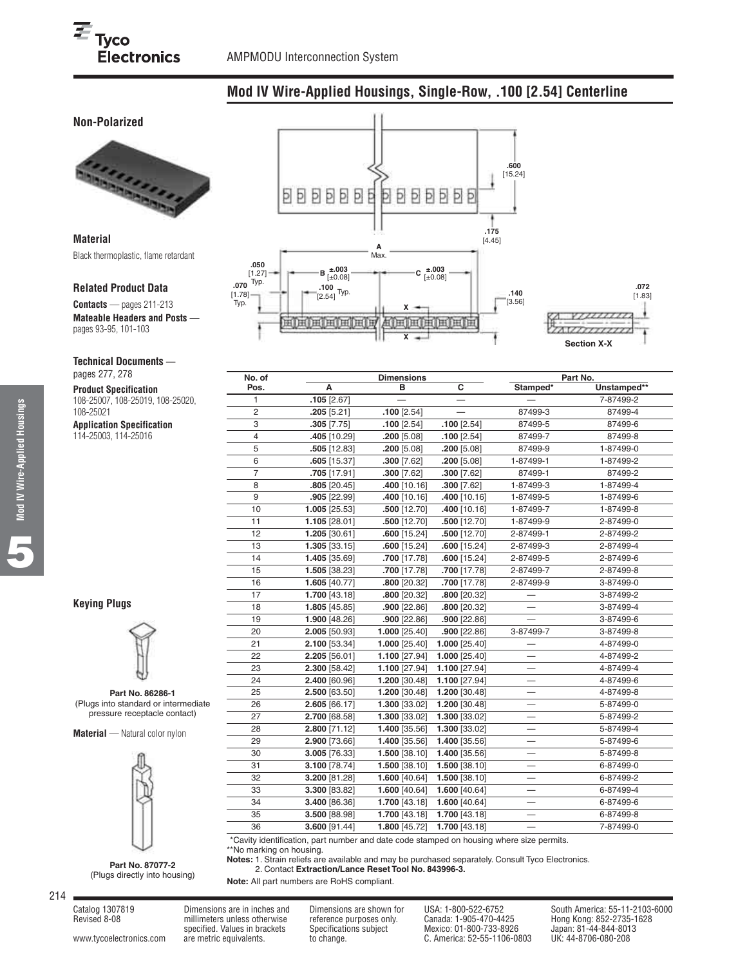# **Mod IV Wire-Applied Housings, Single-Row, .100 [2.54] Centerline**

# **Non-Polarized**



**Material** Black thermoplastic, flame retardant

#### **Related Product Data**

**Contacts** — pages 211-213 **Mateable Headers and Posts**  pages 93-95, 101-103

[1.78] Typ.

#### **Technical Documents** —

pages 277, 278

**Product Specification** 108-25007, 108-25019, 108-25020, 108-25021

**Application Specification** 114-25003, 114-25016



**X**



**.072**

|   | No. of         | <b>Dimensions</b> |                 |                         | Part No.                 |             |  |
|---|----------------|-------------------|-----------------|-------------------------|--------------------------|-------------|--|
|   | Pos.           | A                 | в               | $\overline{\mathbf{c}}$ | Stamped*                 | Unstamped** |  |
|   | 1              | $.105$ [2.67]     |                 |                         |                          | 7-87499-2   |  |
|   | 2              | .205[5.21]        | $.100$ [2.54]   |                         | 87499-3                  | 87499-4     |  |
|   | 3              | $.305$ [7.75]     | $.100$ [2.54]   | $.100$ [2.54]           | 87499-5                  | 87499-6     |  |
|   | 4              | .405 [10.29]      | $.200$ [5.08]   | $.100$ [2.54]           | 87499-7                  | 87499-8     |  |
|   | 5              | $.505$ [12.83]    | .200 [5.08]     | $.200$ [5.08]           | 87499-9                  | 1-87499-0   |  |
|   | 6              | $.605$ [15.37]    | $.300$ [7.62]   | $.200$ [5.08]           | 1-87499-1                | 1-87499-2   |  |
|   | $\overline{7}$ | $.705$ [17.91]    | $.300$ [7.62]   | $.300$ [7.62]           | 87499-1                  | 87499-2     |  |
|   | 8              | $.805$ [20.45]    | $.400$ [10.16]  | $.300$ [7.62]           | 1-87499-3                | 1-87499-4   |  |
|   | 9              | .905 [22.99]      | $.400$ [10.16]  | $.400$ [10.16]          | 1-87499-5                | 1-87499-6   |  |
|   | 10             | 1.005 [25.53]     | .500 [12.70]    | .400 [10.16]            | 1-87499-7                | 1-87499-8   |  |
|   | 11             | 1.105 [28.01]     | $.500$ [12.70]  | $.500$ [12.70]          | 1-87499-9                | 2-87499-0   |  |
|   | 12             | 1.205 [30.61]     | $.600$ [15.24]  | $.500$ [12.70]          | 2-87499-1                | 2-87499-2   |  |
|   | 13             | $1.305$ [33.15]   | $.600$ [15.24]  | $.600$ [15.24]          | 2-87499-3                | 2-87499-4   |  |
|   | 14             | 1.405 [35.69]     | .700 [17.78]    | $.600$ [15.24]          | 2-87499-5                | 2-87499-6   |  |
|   | 15             | 1.505 [38.23]     | .700 [17.78]    | .700 [17.78]            | 2-87499-7                | 2-87499-8   |  |
|   | 16             | 1.605 [40.77]     | .800 [20.32]    | .700 [17.78]            | 2-87499-9                | 3-87499-0   |  |
|   | 17             | 1.700 [43.18]     | .800 [20.32]    | .800 [20.32]            |                          | 3-87499-2   |  |
|   | 18             | $1.805$ [45.85]   | $.900$ [22.86]  | .800 [20.32]            |                          | 3-87499-4   |  |
|   | 19             | 1.900 [48.26]     | $.900$ [22.86]  | $.900$ [22.86]          |                          | 3-87499-6   |  |
|   | 20             | 2.005 [50.93]     | $1.000$ [25.40] | $.900$ [22.86]          | 3-87499-7                | 3-87499-8   |  |
|   | 21             | 2.100 [53.34]     | $1.000$ [25.40] | 1.000 [25.40]           |                          | 4-87499-0   |  |
|   | 22             | 2.205 [56.01]     | 1.100 [27.94]   | 1.000 [25.40]           |                          | 4-87499-2   |  |
|   | 23             | 2.300 [58.42]     | $1.100$ [27.94] | 1.100 [27.94]           |                          | 4-87499-4   |  |
|   | 24             | 2.400 [60.96]     | 1.200 [30.48]   | 1.100 [27.94]           |                          | 4-87499-6   |  |
|   | 25             | 2.500 [63.50]     | 1.200 [30.48]   | 1.200 [30.48]           |                          | 4-87499-8   |  |
| е | 26             | 2.605 [66.17]     | 1.300 [33.02]   | 1.200 [30.48]           |                          | 5-87499-0   |  |
|   | 27             | 2.700 [68.58]     | 1.300 [33.02]   | 1.300 [33.02]           |                          | 5-87499-2   |  |
|   | 28             | 2.800 [71.12]     | 1.400 [35.56]   | 1.300 [33.02]           |                          | 5-87499-4   |  |
|   | 29             | 2.900 [73.66]     | 1.400 [35.56]   | 1.400 [35.56]           |                          | 5-87499-6   |  |
|   | 30             | 3.005 [76.33]     | 1.500 [38.10]   | 1.400 [35.56]           | —                        | 5-87499-8   |  |
|   | 31             | 3.100 [78.74]     | 1.500 [38.10]   | 1.500 [38.10]           | —                        | 6-87499-0   |  |
|   | 32             | 3.200 [81.28]     | $1.600$ [40.64] | 1.500 [38.10]           | $\overline{\phantom{0}}$ | 6-87499-2   |  |
|   | 33             | 3.300 [83.82]     | 1.600 [40.64]   | 1.600 [40.64]           | —                        | 6-87499-4   |  |
|   | 34             | 3.400 [86.36]     | 1.700 [43.18]   | 1.600 [40.64]           |                          | 6-87499-6   |  |
|   | 35             | 3.500 [88.98]     | 1.700 [43.18]   | 1.700 [43.18]           |                          | 6-87499-8   |  |
|   | 36             | 3.600 [91.44]     | 1.800 [45.72]   | 1.700 [43.18]           | $\overline{\phantom{0}}$ | 7-87499-0   |  |
|   |                |                   |                 |                         |                          |             |  |

\*\*Cavity identification, part number and date code stamped on housing where size permits. \*\*No marking on housing.

**Notes:** 1. Strain reliefs are available and may be purchased separately. Consult Tyco Electronics.

**Notes:** 2. Contact **Extraction/Lance Reset Tool No. 843996-3.**

**Note:** All part numbers are RoHS compliant.

```
214
```
**5**

**Keying Plugs**



**Part No. 86286-1** (Plugs into standard or intermediate pressure receptacle contact)

**Material** — Natural color nylon



**Part No. 87077-2** (Plugs directly into housing)

Revised 8-08 millimeters unless otherwise reference purposes only. Canada: 1-905-470-4425 Hong Kong: 852-2735-1628

specified. Values in brackets Specifications subject Mexico: 01-800-733-8926 Japan: 81-44-844-801<br>are metric equivalents. to change. C. America: 52-55-1106-0803 UK: 44-8706-080-208 [www.tycoelectronics.com](http://www.tycoelectronics.com) are metric equivalents. to change. C. America: 52-55-1106-0803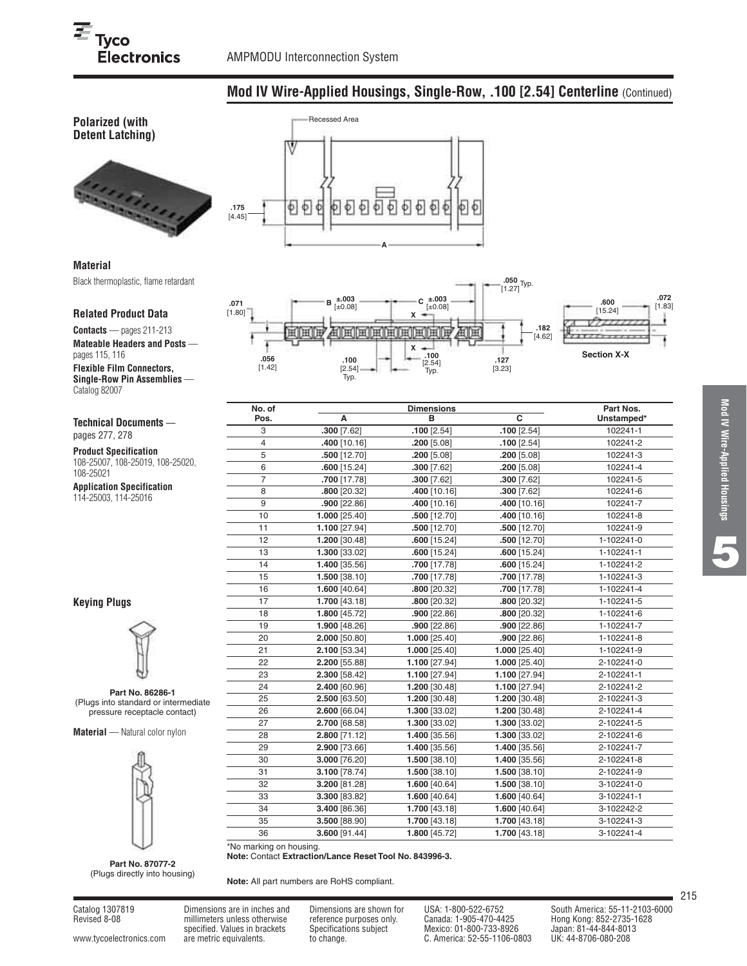**Polarized (with**

**.056** [1.42] 用旧用

**.071** [1.80]

# **Mod IV Wire-Applied Housings, Single-Row, .100 [2.54] Centerline** (Continued)

**.100** [2.54] Typ.

**X**

**X**

田田田田野

 $C_{\pm 0.08}^{\pm 0.03}$ 

**.050** [1.27] Typ.

**.127** [3.23]

ਸਿਸ

**.182** [4.62]



# Recessed Area Þ  $\Phi$ **.175** [4.45] **A**

**.100** [2.54] Typ.

周囲囲囲

**±.003** [±0.08] **<sup>B</sup> ±.003**

# **Material**

Black thermoplastic, flame retardant

#### **Related Product Data**

**Contacts** — pages 211-213

**Mateable Headers and Posts**  pages 115, 116 **Flexible Film Connectors, Single-Row Pin Assemblies** — Catalog 82007

# **Technical Documents** —

pages 277, 278

**Product Specification** 108-25007, 108-25019, 108-25020, 108-25021

**Application Specification** 114-25003, 114-25016

## **Keying Plugs**



**Part No. 86286-1** (Plugs into standard or intermediate pressure receptacle contact)

**Material** — Natural color nylon



**Part No. 87077-2** (Plugs directly into housing)

**Note:** All part numbers are RoHS compliant.

**Note:** Contact **Extraction/Lance Reset Tool No. 843996-3.**

Revised 8-08 millimeters unless otherwise reference purposes only. Canada: 1-905-470-4425 Hong Kong: 852-2735-1628

\*No marking on housing.

specified. Values in brackets Specifications subject Mexico: 01-800-733-8926 Japan: 81-44-844-801<br>are metric equivalents. to change. C. America: 52-55-1106-0803 UK: 44-8706-080-208 [www.tycoelectronics.com](http://www.tycoelectronics.com) are metric equivalents. to change. C. America: 52-55-1106-0803

**.072** [1.83] **.600** [15.24] A,  $7777777$ **Section X-X**

| No. of         |                | <b>Dimensions</b> |                | Part Nos.  |
|----------------|----------------|-------------------|----------------|------------|
| Pos.           | А              | в                 | $\overline{c}$ | Unstamped* |
| 3              | $.300$ [7.62]  | $.100$ [2.54]     | $.100$ [2.54]  | 102241-1   |
| $\overline{4}$ | 400 [10.16]    | $.200$ [5.08]     | $.100$ [2.54]  | 102241-2   |
| 5              | .500 [12.70]   | .200 [5.08]       | $.200$ [5.08]  | 102241-3   |
| 6              | $.600$ [15.24] | $.300$ [7.62]     | $.200$ [5.08]  | 102241-4   |
| $\overline{7}$ | .700 [17.78]   | .300 [7.62]       | $.300$ [7.62]  | 102241-5   |
| 8              | .800 [20.32]   | .400 [10.16]      | $.300$ [7.62]  | 102241-6   |
| 9              | $.900$ [22.86] | .400 [10.16]      | $.400$ [10.16] | 102241-7   |
| 10             | 1.000 [25.40]  | $.500$ [12.70]    | .400 [10.16]   | 102241-8   |
| 11             | 1.100 [27.94]  | $.500$ [12.70]    | $.500$ [12.70] | 102241-9   |
| 12             | 1.200 [30.48]  | $.600$ [15.24]    | $.500$ [12.70] | 1-102241-0 |
| 13             | 1.300 [33.02]  | $.600$ [15.24]    | $.600$ [15.24] | 1-102241-1 |
| 14             | 1.400 [35.56]  | .700 [17.78]      | $.600$ [15.24] | 1-102241-2 |
| 15             | 1.500 [38.10]  | .700 [17.78]      | .700 [17.78]   | 1-102241-3 |
| 16             | 1.600 [40.64]  | .800 [20.32]      | .700 [17.78]   | 1-102241-4 |
| 17             | 1.700 [43.18]  | .800 [20.32]      | .800 [20.32]   | 1-102241-5 |
| 18             | 1.800 [45.72]  | $.900$ [22.86]    | .800 [20.32]   | 1-102241-6 |
| 19             | 1.900 [48.26]  | $.900$ [22.86]    | $.900$ [22.86] | 1-102241-7 |
| 20             | 2.000 [50.80]  | 1.000 [25.40]     | $.900$ [22.86] | 1-102241-8 |
| 21             | 2.100 [53.34]  | 1.000 [25.40]     | 1.000 [25.40]  | 1-102241-9 |
| 22             | 2.200 [55.88]  | 1.100 [27.94]     | 1.000 [25.40]  | 2-102241-0 |
| 23             | 2.300 [58.42]  | 1.100 [27.94]     | 1.100 [27.94]  | 2-102241-1 |
| 24             | 2.400 [60.96]  | 1.200 [30.48]     | 1.100 [27.94]  | 2-102241-2 |
| 25             | 2.500 [63.50]  | 1.200 [30.48]     | 1.200 [30.48]  | 2-102241-3 |
| 26             | 2.600 [66.04]  | 1.300 [33.02]     | 1.200 [30.48]  | 2-102241-4 |
| 27             | 2.700 [68.58]  | 1.300 [33.02]     | 1.300 [33.02]  | 2-102241-5 |
| 28             | 2.800 [71.12]  | 1.400 [35.56]     | 1.300 [33.02]  | 2-102241-6 |
| 29             | 2.900 [73.66]  | 1.400 [35.56]     | 1.400 [35.56]  | 2-102241-7 |
| 30             | 3.000 [76.20]  | 1.500 [38.10]     | 1.400 [35.56]  | 2-102241-8 |
| 31             | 3.100 [78.74]  | 1.500 [38.10]     | 1.500 [38.10]  | 2-102241-9 |
| 32             | 3.200 [81.28]  | 1.600 [40.64]     | 1.500 [38.10]  | 3-102241-0 |
| 33             | 3.300 [83.82]  | 1.600 [40.64]     | 1.600 [40.64]  | 3-102241-1 |
| 34             | 3.400 [86.36]  | 1.700 [43.18]     | 1.600 [40.64]  | 3-102242-2 |
| 35             | 3.500 [88.90]  | 1.700 [43.18]     | 1.700 [43.18]  | 3-102241-3 |
| 36             | 3.600 [91.44]  | 1.800 [45.72]     | 1.700 [43.18]  | 3-102241-4 |

**Mod IV Wire-Applied Housings** Mod IV Wire-Applied Housings



Catalog 1307819 Dimensions are in inches and Dimensions are shown for USA: 1-800-522-6752 South America: 55-11-2103-6000<br>Revised 8-08 millimeters unless otherwise reference purposes only. Canada: 1-905-470-4425 Hong Kong: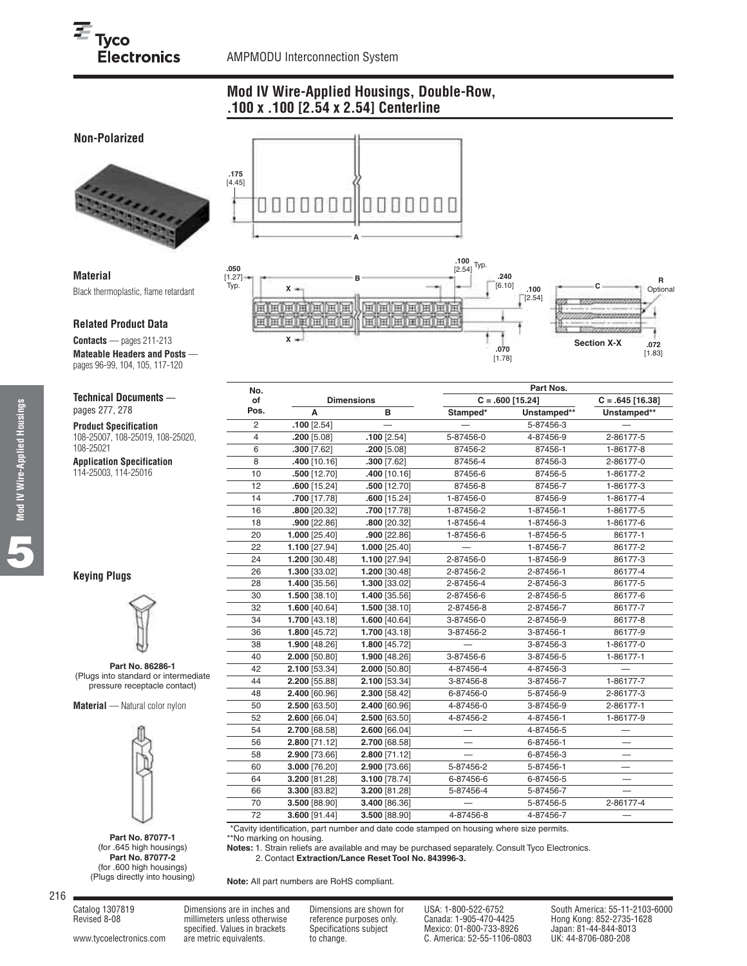# **Mod IV Wire-Applied Housings, Double-Row, .100 x .100 [2.54 x 2.54] Centerline**

# **Non-Polarized**



### **Material** Black thermoplastic, flame retardant

#### **Related Product Data**

**Contacts** — pages 211-213 **Mateable Headers and Posts**  pages 96-99, 104, 105, 117-120

#### **Technical Documents**  pages 277, 278

**Product Specification** 108-25007, 108-25019, 108-25020, 108-25021

**Application Specification** 114-25003, 114-25016

# **Keying Plugs**



**Part No. 86286-1** (Plugs into standard or intermediate pressure receptacle contact)

**Material** — Natural color nylon



**Part No. 87077-1** (for .645 high housings) **Part No. 87077-2** (for .600 high housings) (Plugs directly into housing)





| No.            |                 |                   |           | Part Nos.          |                    |  |
|----------------|-----------------|-------------------|-----------|--------------------|--------------------|--|
| of             |                 | <b>Dimensions</b> |           | $C = .600$ [15.24] | $C = .645$ [16.38] |  |
| Pos.           | A               | B                 | Stamped*  | Unstamped**        | Unstamped**        |  |
| $\overline{c}$ | $.100$ [2.54]   |                   |           | 5-87456-3          |                    |  |
| 4              | $.200$ [5.08]   | $.100$ [2.54]     | 5-87456-0 | 4-87456-9          | 2-86177-5          |  |
| 6              | $.300$ [7.62]   | $.200$ [5.08]     | 87456-2   | 87456-1            | 1-86177-8          |  |
| 8              | 10.16] 400      | 300 [7.62]        | 87456-4   | 87456-3            | 2-86177-0          |  |
| 10             | .500 [12.70]    | .400 [10.16]      | 87456-6   | 87456-5            | 1-86177-2          |  |
| 12             | .600[15.24]     | $.500$ [12.70]    | 87456-8   | 87456-7            | 1-86177-3          |  |
| 14             | .700 [17.78]    | $.600$ [15.24]    | 1-87456-0 | 87456-9            | 1-86177-4          |  |
| 16             | .800 [20.32]    | .700 [17.78]      | 1-87456-2 | 1-87456-1          | 1-86177-5          |  |
| 18             | $.900$ [22.86]  | .800 [20.32]      | 1-87456-4 | 1-87456-3          | 1-86177-6          |  |
| 20             | 1.000 [25.40]   | $.900$ [22.86]    | 1-87456-6 | 1-87456-5          | 86177-1            |  |
| 22             | 1.100 [27.94]   | 1.000 [25.40]     |           | 1-87456-7          | 86177-2            |  |
| 24             | 1.200 [30.48]   | 1.100 [27.94]     | 2-87456-0 | 1-87456-9          | 86177-3            |  |
| 26             | 1.300 [33.02]   | 1.200 [30.48]     | 2-87456-2 | 2-87456-1          | 86177-4            |  |
| 28             | 1.400 [35.56]   | 1.300 [33.02]     | 2-87456-4 | 2-87456-3          | 86177-5            |  |
| 30             | 1.500 [38.10]   | 1.400 [35.56]     | 2-87456-6 | 2-87456-5          | 86177-6            |  |
| 32             | 1.600 [40.64]   | 1.500 [38.10]     | 2-87456-8 | 2-87456-7          | 86177-7            |  |
| 34             | 1.700 [43.18]   | 1.600 [40.64]     | 3-87456-0 | 2-87456-9          | 86177-8            |  |
| 36             | 1.800 [45.72]   | 1.700 [43.18]     | 3-87456-2 | 3-87456-1          | 86177-9            |  |
| 38             | 1.900 [48.26]   | 1.800 [45.72]     |           | 3-87456-3          | 1-86177-0          |  |
| 40             | $2.000$ [50.80] | 1.900 [48.26]     | 3-87456-6 | 3-87456-5          | 1-86177-1          |  |
| 42             | 2.100 [53.34]   | 2.000 [50.80]     | 4-87456-4 | 4-87456-3          |                    |  |
| 44             | 2.200 [55.88]   | 2.100 [53.34]     | 3-87456-8 | 3-87456-7          | 1-86177-7          |  |
| 48             | 2.400 [60.96]   | 2.300 [58.42]     | 6-87456-0 | 5-87456-9          | 2-86177-3          |  |
| 50             | 2.500 [63.50]   | 2.400 [60.96]     | 4-87456-0 | 3-87456-9          | 2-86177-1          |  |
| 52             | 2.600 [66.04]   | 2.500 [63.50]     | 4-87456-2 | 4-87456-1          | 1-86177-9          |  |
| 54             | 2.700 [68.58]   | 2.600 [66.04]     |           | 4-87456-5          |                    |  |
| 56             | 2.800 [71.12]   | 2.700 [68.58]     |           | 6-87456-1          |                    |  |
| 58             | 2.900 [73.66]   | 2.800 [71.12]     |           | 6-87456-3          |                    |  |
| 60             | 3.000 [76.20]   | 2.900 [73.66]     | 5-87456-2 | 5-87456-1          |                    |  |
| 64             | 3.200 [81.28]   | 3.100 [78.74]     | 6-87456-6 | 6-87456-5          |                    |  |
| 66             | 3.300 [83.82]   | 3.200 [81.28]     | 5-87456-4 | 5-87456-7          |                    |  |
| 70             | 3.500 [88.90]   | 3.400 [86.36]     |           | 5-87456-5          | 2-86177-4          |  |
| 72             | 3.600 [91.44]   | 3.500 [88.90]     | 4-87456-8 | 4-87456-7          |                    |  |

\*\*Cavity identification, part number and date code stamped on housing where size permits.

\*\*No marking on housing.

**Notes:** 1. Strain reliefs are available and may be purchased separately. Consult Tyco Electronics. **Notes:** 2. Contact **Extraction/Lance Reset Tool No. 843996-3.**

**Note:** All part numbers are RoHS compliant.

216

**5**

Revised 8-08 millimeters unless otherwise reference purposes only. Canada: 1-905-470-4425 Hong Kong: 852-2735-1628

[www.tycoelectronics.com](http://www.tycoelectronics.com) are metric equivalents. to change. C. America: 52-55-1106-0803

specified. Values in brackets Specifications subject Mexico: 01-800-733-8926 Japan: 81-44-844-801<br>are metric equivalents. to change. C. America: 52-55-1106-0803 UK: 44-8706-080-208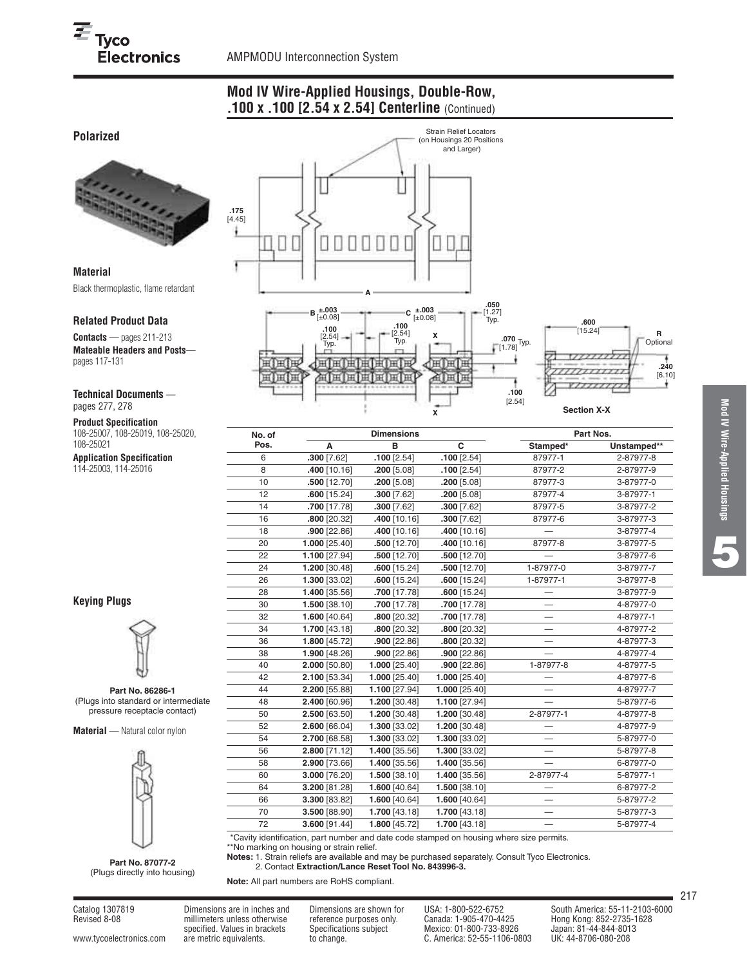**Polarized**

**Material**

pages 117-131

pages 277, 278 **Product Specification** 108-25007, 108-25019, 108-25020,

108-25021

**Related Product Data Contacts** — pages 211-213

**Contractor** 

**Technical Documents** —

**Application Specification** 114-25003, 114-25016

# **Mod IV Wire-Applied Housings, Double-Row, .100 x .100 [2.54 x 2.54] Centerline** (Continued)



**Keying Plugs**



**Part No. 86286-1** (Plugs into standard or intermediate pressure receptacle contact)

**Material** — Natural color nylon



**Part No. 87077-2** (Plugs directly into housing)

| No. of |                | <b>Dimensions</b> |                 | Part Nos. |             |  |
|--------|----------------|-------------------|-----------------|-----------|-------------|--|
| Pos.   | A              | B                 | C               | Stamped*  | Unstamped** |  |
| 6      | $.300$ [7.62]  | $.100$ [2.54]     | $.100$ [2.54]   | 87977-1   | 2-87977-8   |  |
| 8      | 400 [10.16]    | .200 [5.08]       | $.100$ [2.54]   | 87977-2   | 2-87977-9   |  |
| 10     | .500 [12.70]   | $.200$ [5.08]     | $.200$ [5.08]   | 87977-3   | 3-87977-0   |  |
| 12     | $.600$ [15.24] | $.300$ [7.62]     | $.200$ [5.08]   | 87977-4   | 3-87977-1   |  |
| 14     | .700 [17.78]   | $.300$ [7.62]     | $.300$ [7.62]   | 87977-5   | 3-87977-2   |  |
| 16     | .800 [20.32]   | .400 [10.16]      | $.300$ [7.62]   | 87977-6   | 3-87977-3   |  |
| 18     | $.900$ [22.86] | .400 [10.16]      | 400 [10.16]     |           | 3-87977-4   |  |
| 20     | 1.000 [25.40]  | .500 [12.70]      | 400 [10.16]     | 87977-8   | 3-87977-5   |  |
| 22     | 1.100 [27.94]  | $.500$ [12.70]    | $.500$ [12.70]  |           | 3-87977-6   |  |
| 24     | 1.200 [30.48]  | $.600$ [15.24]    | .500 [12.70]    | 1-87977-0 | 3-87977-7   |  |
| 26     | 1.300 [33.02]  | $.600$ [15.24]    | $.600$ [15.24]  | 1-87977-1 | 3-87977-8   |  |
| 28     | 1.400 [35.56]  | .700 [17.78]      | $.600$ [15.24]  |           | 3-87977-9   |  |
| 30     | 1.500 [38.10]  | .700 [17.78]      | .700 [17.78]    |           | 4-87977-0   |  |
| 32     | 1.600 [40.64]  | .800 [20.32]      | .700 [17.78]    |           | 4-87977-1   |  |
| 34     | 1.700 [43.18]  | .800 [20.32]      | .800 [20.32]    |           | 4-87977-2   |  |
| 36     | 1.800 [45.72]  | $.900$ [22.86]    | .800 [20.32]    |           | 4-87977-3   |  |
| 38     | 1.900 [48.26]  | $.900$ [22.86]    | $.900$ [22.86]  |           | 4-87977-4   |  |
| 40     | 2.000 [50.80]  | 1.000 [25.40]     | $.900$ [22.86]  | 1-87977-8 | 4-87977-5   |  |
| 42     | 2.100 [53.34]  | 1.000 [25.40]     | $1.000$ [25.40] | -         | 4-87977-6   |  |
| 44     | 2.200 [55.88]  | 1.100 [27.94]     | 1.000 [25.40]   |           | 4-87977-7   |  |
| 48     | 2.400 [60.96]  | 1.200 [30.48]     | 1.100 [27.94]   |           | 5-87977-6   |  |
| 50     | 2.500 [63.50]  | 1.200 [30.48]     | 1.200 [30.48]   | 2-87977-1 | 4-87977-8   |  |
| 52     | 2.600 [66.04]  | 1.300 [33.02]     | 1.200 [30.48]   |           | 4-87977-9   |  |
| 54     | 2.700 [68.58]  | 1.300 [33.02]     | 1.300 [33.02]   |           | 5-87977-0   |  |
| 56     | 2.800 [71.12]  | 1.400 [35.56]     | 1.300 [33.02]   |           | 5-87977-8   |  |
| 58     | 2.900 [73.66]  | 1.400 [35.56]     | 1.400 [35.56]   |           | 6-87977-0   |  |
| 60     | 3.000 [76.20]  | 1.500 [38.10]     | 1.400 [35.56]   | 2-87977-4 | 5-87977-1   |  |
| 64     | 3.200 [81.28]  | 1.600 [40.64]     | 1.500 [38.10]   |           | 6-87977-2   |  |
| 66     | 3.300 [83.82]  | 1.600 [40.64]     | 1.600 [40.64]   |           | 5-87977-2   |  |
| 70     | 3.500 [88.90]  | 1.700 [43.18]     | 1.700 [43.18]   |           | 5-87977-3   |  |
| 72     | 3.600 [91.44]  | 1.800 [45.72]     | 1.700 [43.18]   |           | 5-87977-4   |  |

\*\*No marking on housing or strain relief. **Notes:** 1. Strain reliefs are available and may be purchased separately. Consult Tyco Electronics.

**Notes:** 2. Contact **Extraction/Lance Reset Tool No. 843996-3.**

**Note:** All part numbers are RoHS compliant.

**5**

Revised 8-08 millimeters unless otherwise reference purposes only. Canada: 1-905-470-4425 Hong Kong: 852-2735-1628

Catalog 1307819 Dimensions are in inches and Dimensions are shown for USA: 1-800-522-6752 South America: 55-11-2103-6000<br>Revised 8-08 millimeters unless otherwise reference purposes only. Canada: 1-905-470-4425 Hong Kong: specified. Values in brackets Specifications subject Mexico: 01-800-733-8926 Japan: 81-44-844-801<br>are metric equivalents. to change. C. America: 52-55-1106-0803 UK: 44-8706-080-208 [www.tycoelectronics.com](http://www.tycoelectronics.com) are metric equivalents. to change. C. America: 52-55-1106-0803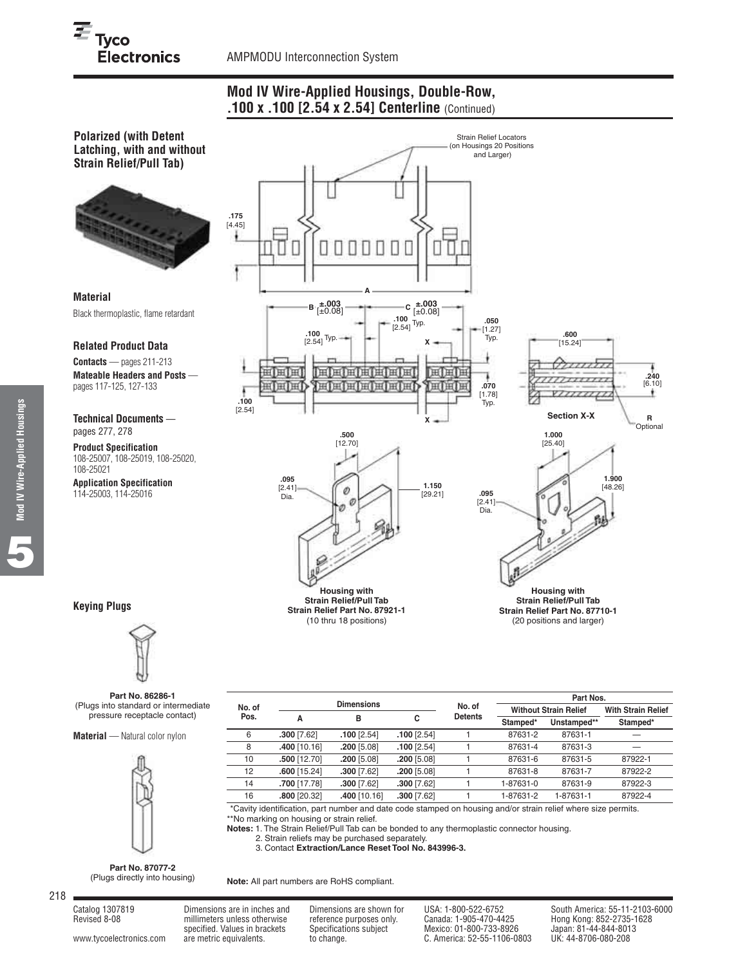# **Mod IV Wire-Applied Housings, Double-Row, .100 x .100 [2.54 x 2.54] Centerline** (Continued)

**Polarized (with Detent Latching, with and without Strain Relief/Pull Tab)**



**Material** Black thermoplastic, flame retardant

#### **Related Product Data**

**Contacts** — pages 211-213 **Mateable Headers and Posts**  pages 117-125, 127-133

**Technical Documents**  pages 277, 278

**Product Specification** 108-25007, 108-25019, 108-25020, 108-25021

**Application Specification** 114-25003, 114-25016



# **Keying Plugs**



**Part No. 86286-1** (Plugs into standard or intermediate pressure receptacle contact)

**Material** — Natural color nylon



**Part Nos. No. of Dimensions No. of Without Strain Relief With Strain Relief Pos. ABC Detents Stamped\* Unstamped\*\* Stamped\* .300** [7.62] **.100** [2.54] **.100** [2.54] 1 87631-2 87631-1 — **.400** [10.16] **.200** [5.08] **.100** [2.54] 1 87631-4 87631-3 — **.500** [12.70] **.200** [5.08] **.200** [5.08] 1 87631-6 87631-5 87922-1 **.600** [15.24] **.300** [7.62] **.200** [5.08] 1 87631-8 87631-7 87922-2 **.700** [17.78] **.300** [7.62] **.300** [7.62] 1 1-87631-0 87631-9 87922-3 **.800** [20.32] **.400** [10.16] **.300** [7.62] 1 1-87631-2 1-87631-1 87922-4

\*\*Cavity identification, part number and date code stamped on housing and/or strain relief where size permits. \*\*No marking on housing or strain relief.

**Notes:** 1. The Strain Relief/Pull Tab can be bonded to any thermoplastic connector housing.

**Notes:** 2. Strain reliefs may be purchased separately. **Notes:** 3. Contact **Extraction/Lance Reset Tool No. 843996-3.**

**Part No. 87077-2** (Plugs directly into housing)

**Note:** All part numbers are RoHS compliant.

Revised 8-08 millimeters unless otherwise reference purposes only. Canada: 1-905-470-4425 Hong Kong: 852-2735-1628

millimeters unless otherwise reference purposes only. Canada: 1-905-470-4425 Hong Kong: 852-2735-1628<br>specified. Values in brackets Specifications subject Mexico: 01-800-733-8926 Japan: 81-44-844-8013<br>are metric equivalent [www.tycoelectronics.com](http://www.tycoelectronics.com) are metric equivalents. to change. C. America: 52-55-1106-0803

Catalog 1307819 Dimensions are in inches and Dimensions are shown for USA: 1-800-522-6752 South America: 55-11-2103-6000<br>Revised 8-08 Millimeters unless otherwise reference purposes only. Canada: 1-905-470-4425 Hong Kong:

**Mod IV Wire-Applied Housings Mod IV Wire-Applied Housings 5**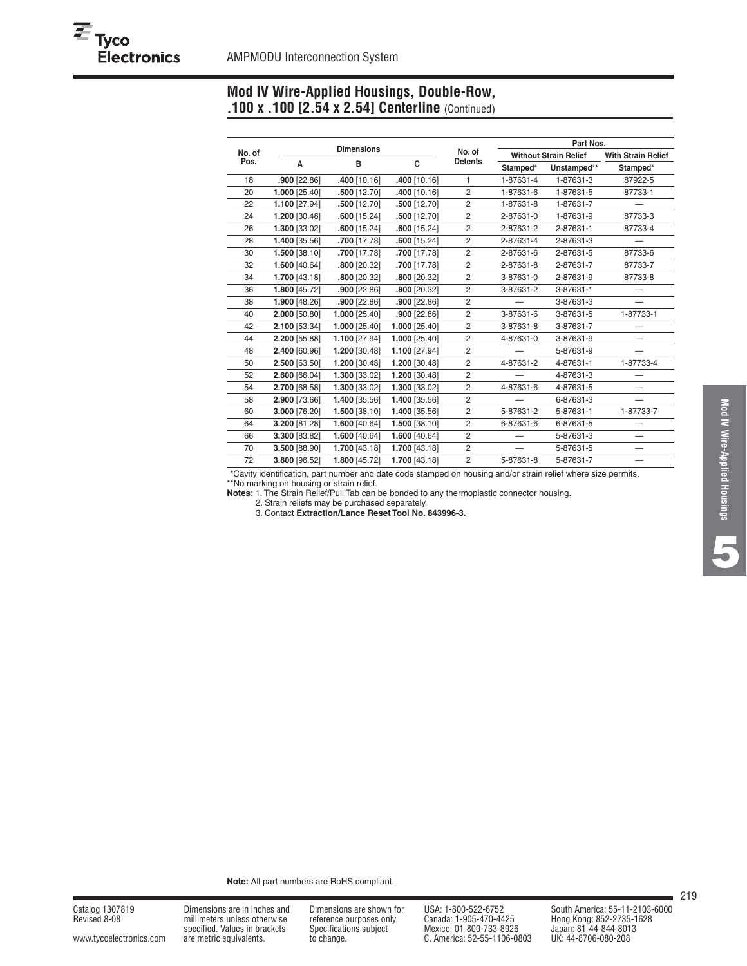# **Mod IV Wire-Applied Housings, Double-Row, .100 x .100 [2.54 x 2.54] Centerline** (Continued)

|                |                | <b>Dimensions</b> |                |                |           | Part Nos.                    |                           |
|----------------|----------------|-------------------|----------------|----------------|-----------|------------------------------|---------------------------|
| No. of<br>Pos. |                |                   |                | No. of         |           | <b>Without Strain Relief</b> | <b>With Strain Relief</b> |
|                | A              | в                 | C              | <b>Detents</b> | Stamped*  | Unstamped**                  | Stamped*                  |
| 18             | $.900$ [22.86] | .400 [10.16]      | .400 [10.16]   | 1              | 1-87631-4 | 1-87631-3                    | 87922-5                   |
| 20             | 1.000 [25.40]  | .500 [12.70]      | .400 [10.16]   | $\overline{c}$ | 1-87631-6 | 1-87631-5                    | 87733-1                   |
| 22             | 1.100 [27.94]  | .500 [12.70]      | $.500$ [12.70] | $\overline{c}$ | 1-87631-8 | 1-87631-7                    |                           |
| 24             | 1.200 [30.48]  | $.600$ [15.24]    | $.500$ [12.70] | $\overline{c}$ | 2-87631-0 | 1-87631-9                    | 87733-3                   |
| 26             | 1.300 [33.02]  | $.600$ [15.24]    | $.600$ [15.24] | $\overline{c}$ | 2-87631-2 | 2-87631-1                    | 87733-4                   |
| 28             | 1.400 [35.56]  | .700 [17.78]      | $.600$ [15.24] | $\overline{2}$ | 2-87631-4 | 2-87631-3                    |                           |
| 30             | 1.500 [38.10]  | .700 [17.78]      | .700 [17.78]   | $\overline{c}$ | 2-87631-6 | 2-87631-5                    | 87733-6                   |
| 32             | 1.600 [40.64]  | .800 [20.32]      | .700 [17.78]   | $\overline{2}$ | 2-87631-8 | 2-87631-7                    | 87733-7                   |
| 34             | 1.700 [43.18]  | .800 [20.32]      | $.800$ [20.32] | $\overline{2}$ | 3-87631-0 | 2-87631-9                    | 87733-8                   |
| 36             | 1.800 [45.72]  | $.900$ [22.86]    | .800 [20.32]   | $\overline{c}$ | 3-87631-2 | 3-87631-1                    |                           |
| 38             | 1.900 [48.26]  | $.900$ [22.86]    | $.900$ [22.86] | $\overline{c}$ |           | 3-87631-3                    |                           |
| 40             | 2.000 [50.80]  | 1.000 [25.40]     | $.900$ [22.86] | $\overline{2}$ | 3-87631-6 | 3-87631-5                    | 1-87733-1                 |
| 42             | 2.100 [53.34]  | 1.000 [25.40]     | 1.000 [25.40]  | $\overline{2}$ | 3-87631-8 | 3-87631-7                    |                           |
| 44             | 2.200 [55.88]  | 1.100 [27.94]     | 1.000 [25.40]  | $\overline{c}$ | 4-87631-0 | 3-87631-9                    |                           |
| 48             | 2.400 [60.96]  | 1.200 [30.48]     | 1.100 [27.94]  | $\overline{2}$ |           | 5-87631-9                    |                           |
| 50             | 2.500 [63.50]  | 1.200 [30.48]     | 1.200 [30.48]  | $\overline{2}$ | 4-87631-2 | 4-87631-1                    | 1-87733-4                 |
| 52             | 2.600 [66.04]  | 1.300 [33.02]     | 1.200 [30.48]  | $\overline{c}$ |           | 4-87631-3                    |                           |
| 54             | 2.700 [68.58]  | 1.300 [33.02]     | 1.300 [33.02]  | $\overline{c}$ | 4-87631-6 | 4-87631-5                    |                           |
| 58             | 2.900 [73.66]  | 1.400 [35.56]     | 1.400 [35.56]  | $\overline{2}$ |           | 6-87631-3                    |                           |
| 60             | 3.000 [76.20]  | 1.500 [38.10]     | 1.400 [35.56]  | $\overline{c}$ | 5-87631-2 | 5-87631-1                    | 1-87733-7                 |
| 64             | 3.200 [81.28]  | 1.600 [40.64]     | 1.500 [38.10]  | $\overline{2}$ | 6-87631-6 | 6-87631-5                    |                           |
| 66             | 3.300 [83.82]  | 1.600 [40.64]     | 1.600 [40.64]  | $\overline{c}$ |           | 5-87631-3                    |                           |
| 70             | 3.500 [88.90]  | 1.700 [43.18]     | 1.700 [43.18]  | $\overline{c}$ |           | 5-87631-5                    | —                         |
| 72             | 3.800 [96.52]  | 1.800 [45.72]     | 1.700 [43.18]  | $\overline{2}$ | 5-87631-8 | 5-87631-7                    |                           |

\*\*Cavity identification, part number and date code stamped on housing and/or strain relief where size permits. \*\*No marking on housing or strain relief.

**Notes:** 1. The Strain Relief/Pull Tab can be bonded to any thermoplastic connector housing.

**Notes:** 2. Strain reliefs may be purchased separately. **Notes:** 3. Contact **Extraction/Lance Reset Tool No. 843996-3.**

**Note:** All part numbers are RoHS compliant.

millimeters unless otherwise reference purposes only.<br>specified. Values in brackets Specifications subject

specified. Values in brackets Specifications subject Mexico: 01-800-733-8926 Japan: 81-44-844-801<br>2080-080-208 are metric equivalents. to change. C. America: 52-55-1106-0803 UK: 44-8706-080-208 [www.tycoelectronics.com](http://www.tycoelectronics.com) are metric equivalents. to change. C. America: 52-55-1106-0803

Catalog 1307819 Dimensions are in inches and Dimensions are shown for USA: 1-800-522-6752 South America: 55-11-2103-6000<br>Revised 8-08 millimeters unless otherwise reference purposes only. Canada: 1-905-470-4425 Hong Kong: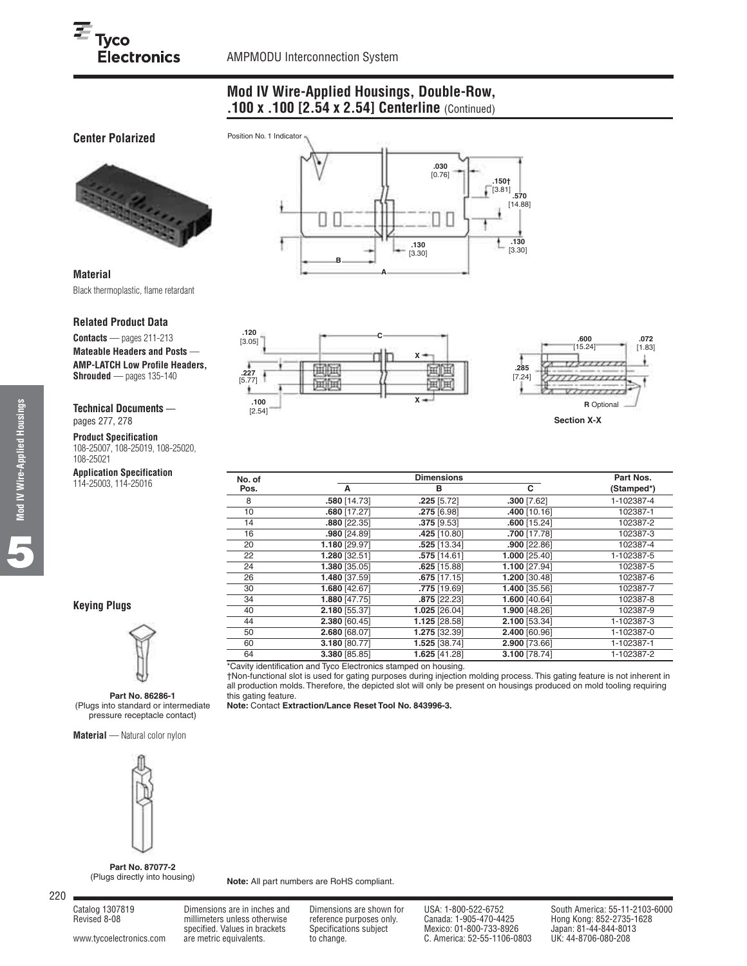# **Mod IV Wire-Applied Housings, Double-Row, .100 x .100 [2.54 x 2.54] Centerline** (Continued)

# **Center Polarized**



**Material** Black thermoplastic, flame retardant

#### **Related Product Data**

**Contacts** — pages 211-213 **Mateable Headers and Posts** — **AMP-LATCH Low Profile Headers, Shrouded** — pages 135-140

**Technical Documents**  pages 277, 278

**Product Specification** 108-25007, 108-25019, 108-25020, 108-25021

# **Application Specification**

114-25003, 114-25016





| No. of |                | <b>Dimensions</b> |                 | Part Nos.  |
|--------|----------------|-------------------|-----------------|------------|
| Pos.   | A              | в                 | C.              | (Stamped*) |
| 8      | .580 [14.73]   | $.225$ [5.72]     | $.300$ [7.62]   | 1-102387-4 |
| 10     | $.680$ [17.27] | .275 [6.98]       | .400 [10.16]    | 102387-1   |
| 14     | .880 [22.35]   | $.375$ [9.53]     | $.600$ [15.24]  | 102387-2   |
| 16     | .980 [24.89]   | .425 [10.80]      | .700 [17.78]    | 102387-3   |
| 20     | 1.180 [29.97]  | .525 [13.34]      | $.900$ [22.86]  | 102387-4   |
| 22     | 1.280 [32.51]  | .575 [14.61]      | 1.000 [25.40]   | 1-102387-5 |
| 24     | 1.380 [35.05]  | $.625$ [15.88]    | 1.100 [27.94]   | 102387-5   |
| 26     | 1.480 [37.59]  | $.675$ [17.15]    | $1.200$ [30.48] | 102387-6   |
| 30     | 1.680 [42.67]  | .775 [19.69]      | 1.400 [35.56]   | 102387-7   |
| 34     | 1.880 [47.75]  | .875 [22.23]      | 1.600 [40.64]   | 102387-8   |
| 40     | 2.180 [55.37]  | 1.025 [26.04]     | 1.900 [48.26]   | 102387-9   |
| 44     | 2.380 [60.45]  | 1.125 [28.58]     | 2.100 [53.34]   | 1-102387-3 |
| 50     | 2.680 [68.07]  | 1.275 [32.39]     | 2.400 [60.96]   | 1-102387-0 |
| 60     | 3.180 [80.77]  | 1.525 [38.74]     | 2.900 [73.66]   | 1-102387-1 |
| 64     | 3.380 [85.85]  | 1.625 [41.28]     | 3.100 [78.74]   | 1-102387-2 |

\*Cavity identification and Tyco Electronics stamped on housing.

†Non-functional slot is used for gating purposes during injection molding process. This gating feature is not inherent in all production molds. Therefore, the depicted slot will only be present on housings produced on mold tooling requiring this gating feature.

**Note:** Contact **Extraction/Lance Reset Tool No. 843996-3.**



**Part No. 86286-1** (Plugs into standard or intermediate pressure receptacle contact)

**Material** — Natural color nylon



**Part No. 87077-2** (Plugs directly into housing)

**Note:** All part numbers are RoHS compliant.

220

Revised 8-08 millimeters unless otherwise reference purposes only. Canada: 1-905-470-4425<br>1992-1620-733-8926 specified. Values in brackets Specifications subject

specified. Values in brackets Specifications subject Mexico: 01-800-733-8926 Japan: 81-44-844-801<br>are metric equivalents. to change. C. America: 52-55-1106-0803 UK: 44-8706-080-208 [www.tycoelectronics.com](http://www.tycoelectronics.com) are metric equivalents. to change. C. America: 52-55-1106-0803

Catalog 1307819 Dimensions are in inches and Dimensions are shown for USA: 1-800-522-6752 South America: 55-11-2103-6000<br>Revised 8-08 millimeters unless otherwise reference purposes only. Canada: 1-905-470-4425 Hong Kong:

**Keying Plugs**

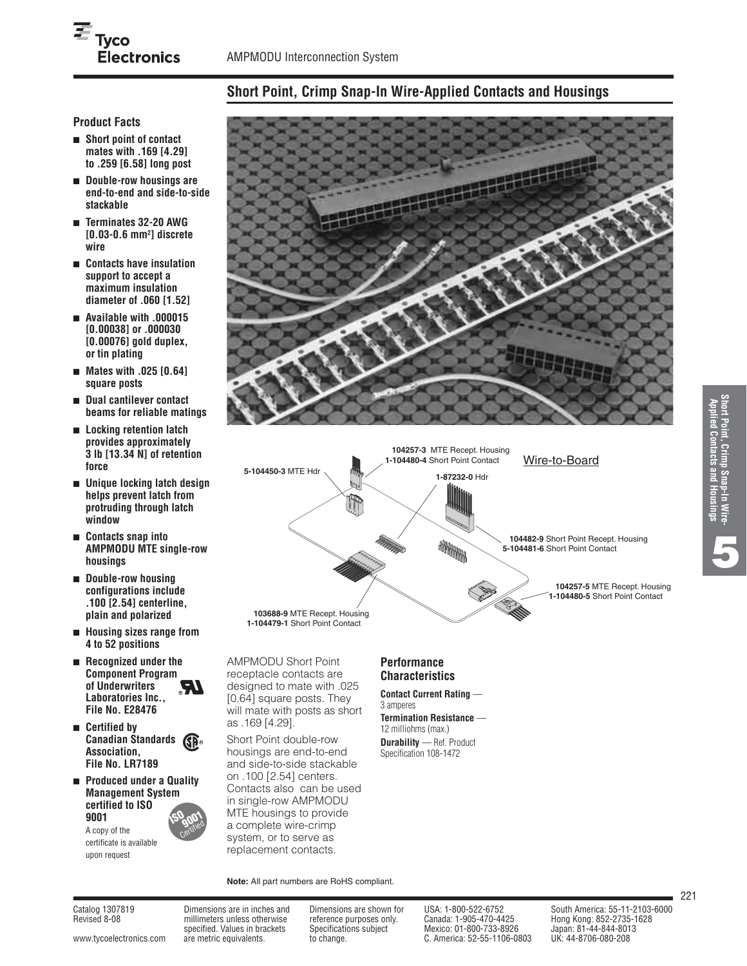# **Short Point, Crimp Snap-In Wire-Applied Contacts and Housings**

# **Product Facts**

- **Short point of contact mates with .169 [4.29] to .259 [6.58] long post**
- **Double-row housings are end-to-end and side-to-side stackable**
- **Terminates 32-20 AWG [0.03-0.6 mm2] discrete wire**
- **Contacts have insulation support to accept a maximum insulation diameter of .060 [1.52]**
- **Available with .000015 [0.00038] or .000030 [0.00076] gold duplex, or tin plating**
- **Mates with .025 [0.64] square posts**
- **Dual cantilever contact beams for reliable matings**
- **Locking retention latch provides approximately 3 lb [13.34 N] of retention force**
- **Unique locking latch design helps prevent latch from protruding through latch window**
- **Contacts snap into AMPMODU MTE single-row housings**
- **Double-row housing configurations include .100 [2.54] centerline, plain and polarized**
- **Housing sizes range from 4 to 52 positions**
- **Recognized under the Component Program of Underwriters Laboratories Inc., File No. E28476 R**
- **Certified by Canadian Standards R Association, File No. LR7189**
- **Produced under a Quality Management System certified to ISO 9001 ISO 9001**

A copy of the certificate is available upon request





AMPMODU Short Point receptacle contacts are designed to mate with .025 [0.64] square posts. They will mate with posts as short as .169 [4.29].

Short Point double-row housings are end-to-end and side-to-side stackable on .100 [2.54] centers. Contacts also can be used in single-row AMPMODU MTE housings to provide a complete wire-crimp system, or to serve as replacement contacts.

**Note:** All part numbers are RoHS compliant.

# **Performance Characteristics**

**Contact Current Rating** — 3 amperes **Termination Resistance** —

12 milliohms (max.) **Durability** — Ref. Product

Specification 108-1472



Revised 8-08 millimeters unless otherwise reference purposes only. Canada: 1-905-470-4425

specified. Values in brackets Specifications subject Mexico: 01-800-733-8926 Japan: 81-44-844-8013 [www.tycoelectronics.com](http://www.tycoelectronics.com) are metric equivalents. to change. C. America: 52-55-1106-0803

Catalog 1307819 Dimensions are in inches and Dimensions are shown for USA: 1-800-522-6752 South America: 55-11-2103-6000<br>Revised 8-08 millimeters unless otherwise reference purposes only. Canada: 1-905-470-4425 Hong Kong: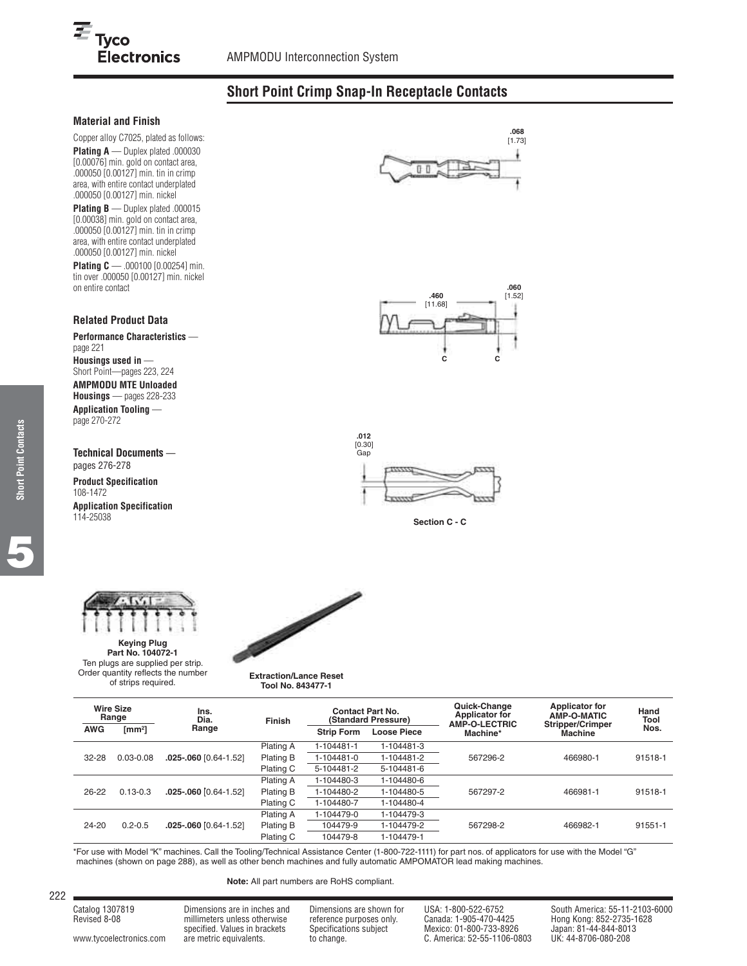# **Short Point Crimp Snap-In Receptacle Contacts**

#### **Material and Finish**

 $E_{\text{Tyco}}$ 

Copper alloy C7025, plated as follows: **Plating A** — Duplex plated .000030 [0.00076] min. gold on contact area, .000050 [0.00127] min. tin in crimp area, with entire contact underplated .000050 [0.00127] min. nickel

**Electronics** 

**Plating B** — Duplex plated .000015 [0.00038] min. gold on contact area, .000050 [0.00127] min. tin in crimp area, with entire contact underplated .000050 [0.00127] min. nickel **Plating C** — .000100 [0.00254] min.

tin over .000050 [0.00127] min. nickel on entire contact

#### **Related Product Data**

**Performance Characteristics**  page 221 **Housings used in** — Short Point—pages 223, 224 **AMPMODU MTE Unloaded Housings** — pages 228-233 **Application Tooling**  page 270-272

**Technical Documents** —

pages 276-278 **Product Specification** 108-1472 **Application Specification**

114-25038



**Keying Plug Part No. 104072-1** Ten plugs are supplied per strip. Order quantity reflects the number of strips required.



#### **Extraction/Lance Reset Tool No. 843477-1**

| <b>Wire Size</b><br>Range |                   | Ins.<br>Dia.              | <b>Contact Part No.</b><br>(Standard Pressure)<br><b>Finish</b> |                   |                    | Quick-Change<br><b>Applicator for</b><br><b>AMP-O-LECTRIC</b> | <b>Applicator for</b><br>AMP-O-MATIC      | Hand<br>Tool |
|---------------------------|-------------------|---------------------------|-----------------------------------------------------------------|-------------------|--------------------|---------------------------------------------------------------|-------------------------------------------|--------------|
| <b>AWG</b>                | $\text{[mm$^2$]}$ | Range                     |                                                                 | <b>Strip Form</b> | <b>Loose Piece</b> | Machine*                                                      | <b>Stripper/Crimper</b><br><b>Machine</b> | Nos.         |
|                           |                   |                           | Plating A                                                       | 1-104481-1        | 1-104481-3         |                                                               |                                           |              |
| 32-28                     | $0.03 - 0.08$     | 025-.060 [0.64-1.52]      | Plating B                                                       | 1-104481-0        | 1-104481-2         | 567296-2                                                      | 466980-1                                  | 91518-1      |
|                           |                   |                           | Plating C                                                       | 5-104481-2        | 5-104481-6         |                                                               |                                           |              |
|                           |                   |                           | Plating A                                                       | 1-104480-3        | 1-104480-6         |                                                               |                                           |              |
| 26-22                     | $0.13 - 0.3$      | 025-.060 0.64-1.521       | Plating B                                                       | 1-104480-2        | 1-104480-5         | 567297-2                                                      | 466981-1                                  | 91518-1      |
|                           |                   |                           | Plating C                                                       | 1-104480-7        | 1-104480-4         |                                                               |                                           |              |
|                           |                   |                           | Plating A                                                       | 1-104479-0        | 1-104479-3         |                                                               |                                           |              |
| 24-20                     | $0.2 - 0.5$       | $.025 - .060$ [0.64-1.52] | Plating B                                                       | 104479-9          | 1-104479-2         | 567298-2<br>466982-1                                          | 91551-1                                   |              |
|                           |                   |                           | Plating C                                                       | 104479-8          | 1-104479-1         |                                                               |                                           |              |

\*For use with Model "K" machines. Call the Tooling/Technical Assistance Center (1-800-722-1111) for part nos. of applicators for use with the Model "G" machines (shown on page 288), as well as other bench machines and fully automatic AMPOMATOR lead making machines.

**Note:** All part numbers are RoHS compliant.

| Catalog 1307819 | Dimensions are in inches and  | Dimensions are shown for | USA: 1-800-522-6752     | South America: 55-11-2103-6000 |
|-----------------|-------------------------------|--------------------------|-------------------------|--------------------------------|
| Revised 8-08    | millimeters unless otherwise  | reference purposes only. | Canada: 1-905-470-4425  | Hong Kong: 852-2735-1628       |
|                 | specified. Values in brackets | Specifications subject   | Mexico: 01-800-733-8926 | Japan: 81-44-844-8013          |

222

specified. Values in brackets Specifications subject Mexico: 01-800-733-8926 Japan: 81-44-844-8013 specified. Values in brackets Specifications subject Mexico: 01-800-733-8926 Japan: 81-44-844-801<br>C. America: 52-55-1106-0803 UK: 44-8706-080-208 UK: 44-8706-080-208







**Section C - C**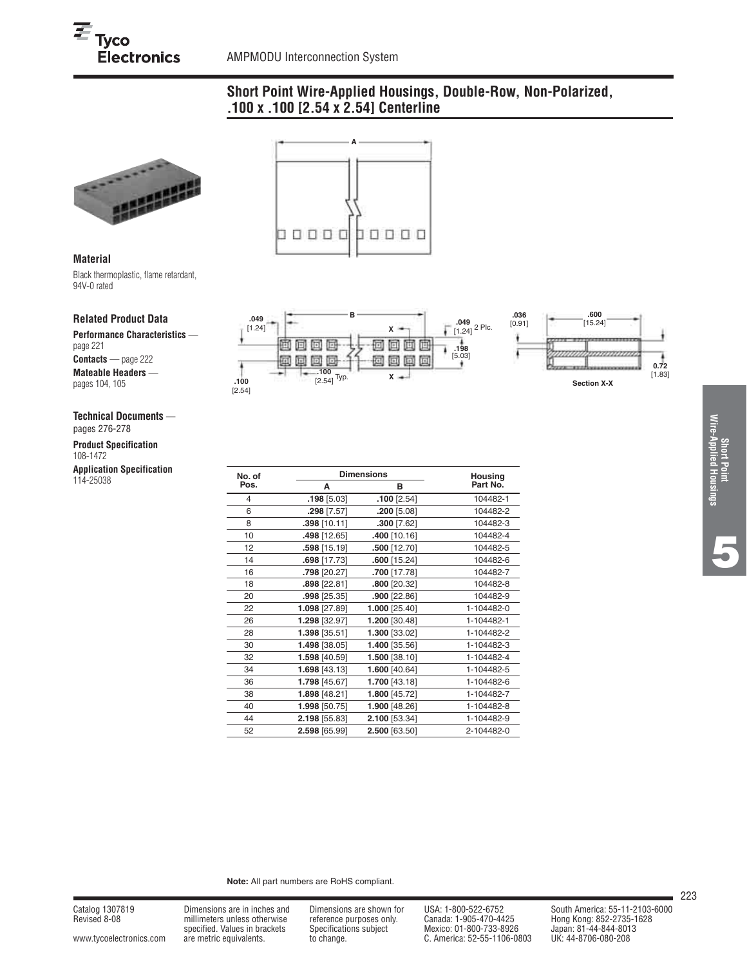# **Short Point Wire-Applied Housings, Double-Row, Non-Polarized, .100 x .100 [2.54 x 2.54] Centerline**



#### **Material**

Black thermoplastic, flame retardant, 94V-0 rated

#### **Related Product Data**

**Performance Characteristics**  page 221 **Contacts** — page 222 **Mateable Headers**  pages 104, 105

#### **Technical Documents** —

pages 276-278

**Product Specification** 108-1472

**Application Specification** 114-25038





| No. of |                | <b>Dimensions</b> |            |  |  |  |
|--------|----------------|-------------------|------------|--|--|--|
| Pos.   | A              | в                 | Part No.   |  |  |  |
| 4      | $.198$ [5.03]  | $.100$ [2.54]     | 104482-1   |  |  |  |
| 6      | $.298$ [7.57]  | $.200$ [5.08]     | 104482-2   |  |  |  |
| 8      | .398 [10.11]   | $.300$ [7.62]     | 104482-3   |  |  |  |
| 10     | .498 [12.65]   | 10.16] 400.       | 104482-4   |  |  |  |
| 12     | .598 [15.19]   | $.500$ [12.70]    | 104482-5   |  |  |  |
| 14     | .698 [17.73]   | $.600$ [15.24]    | 104482-6   |  |  |  |
| 16     | .798 [20.27]   | .700 [17.78]      | 104482-7   |  |  |  |
| 18     | $.898$ [22.81] | .800 [20.32]      | 104482-8   |  |  |  |
| 20     | .998 [25.35]   | $.900$ [22.86]    | 104482-9   |  |  |  |
| 22     | 1.098 [27.89]  | 1.000 [25.40]     | 1-104482-0 |  |  |  |
| 26     | 1.298 [32.97]  | 1.200 [30.48]     | 1-104482-1 |  |  |  |
| 28     | 1.398 [35.51]  | 1.300 [33.02]     | 1-104482-2 |  |  |  |
| 30     | 1.498 [38.05]  | 1.400 [35.56]     | 1-104482-3 |  |  |  |
| 32     | 1.598 [40.59]  | 1.500 [38.10]     | 1-104482-4 |  |  |  |
| 34     | 1.698 [43.13]  | 1.600 [40.64]     | 1-104482-5 |  |  |  |
| 36     | 1.798 [45.67]  | 1.700 [43.18]     | 1-104482-6 |  |  |  |
| 38     | 1.898 [48.21]  | 1.800 [45.72]     | 1-104482-7 |  |  |  |
| 40     | 1.998 [50.75]  | 1.900 [48.26]     | 1-104482-8 |  |  |  |
| 44     | 2.198 [55.83]  | 2.100 [53.34]     | 1-104482-9 |  |  |  |
| 52     | 2.598 [65.99]  | 2.500 [63.50]     | 2-104482-0 |  |  |  |

**Note:** All part numbers are RoHS compliant.

millimeters unless otherwise reference purposes only.<br>specified. Values in brackets Specifications subject specified. Values in brackets Specifications subject Mexico: 01-800-733-8926 Japan: 81-44-844-801<br>2080-are metric equivalents. to change. the change of C. America: 52-55-1106-0803 UK: 44-8706-080-208 [www.tycoelectronics.com](http://www.tycoelectronics.com) are metric equivalents. to change. C. America: 52-55-1106-0803